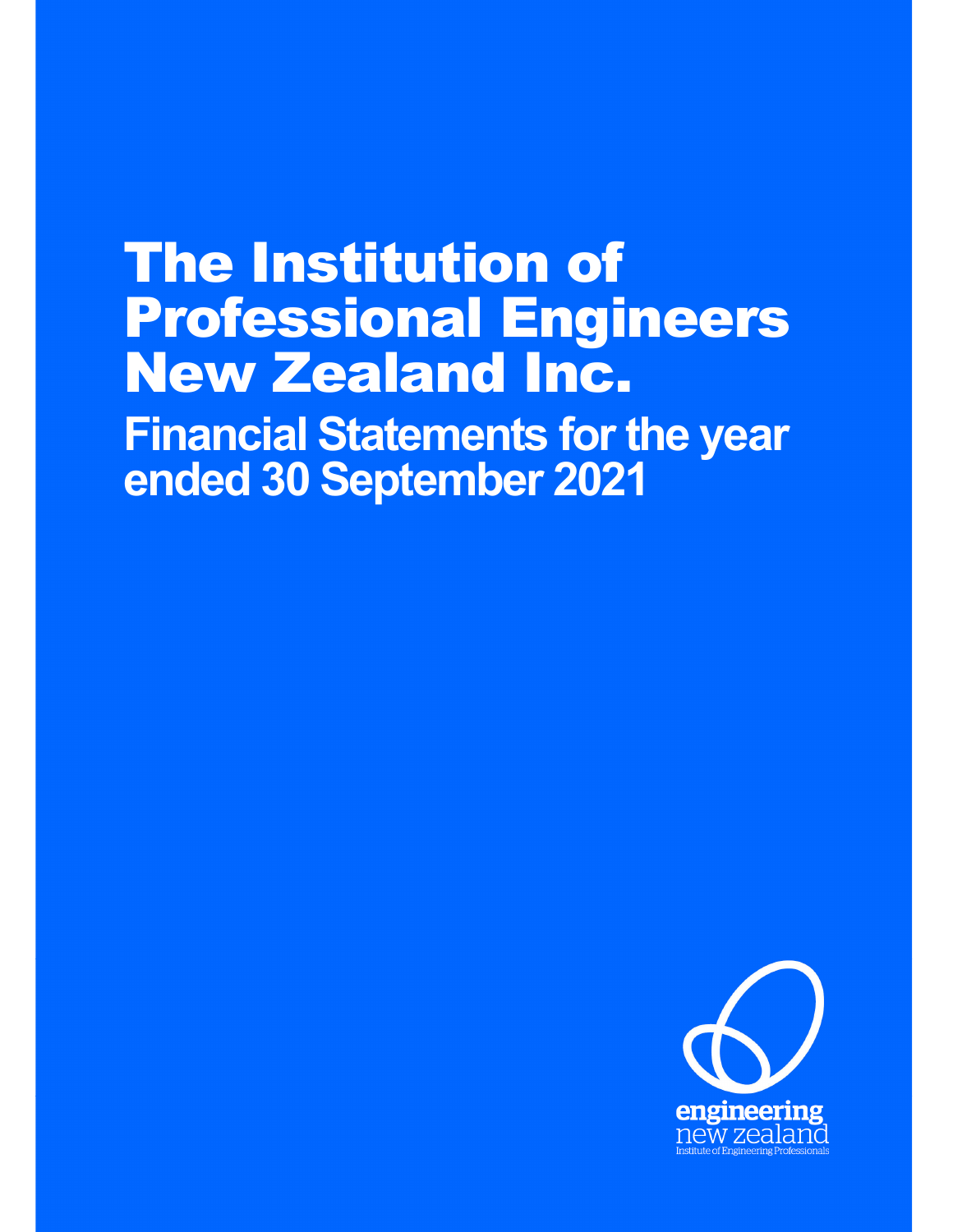# The Institution of Professional Engineers New Zealand Inc. **Financial Statements for the year ended 30 September 2021**

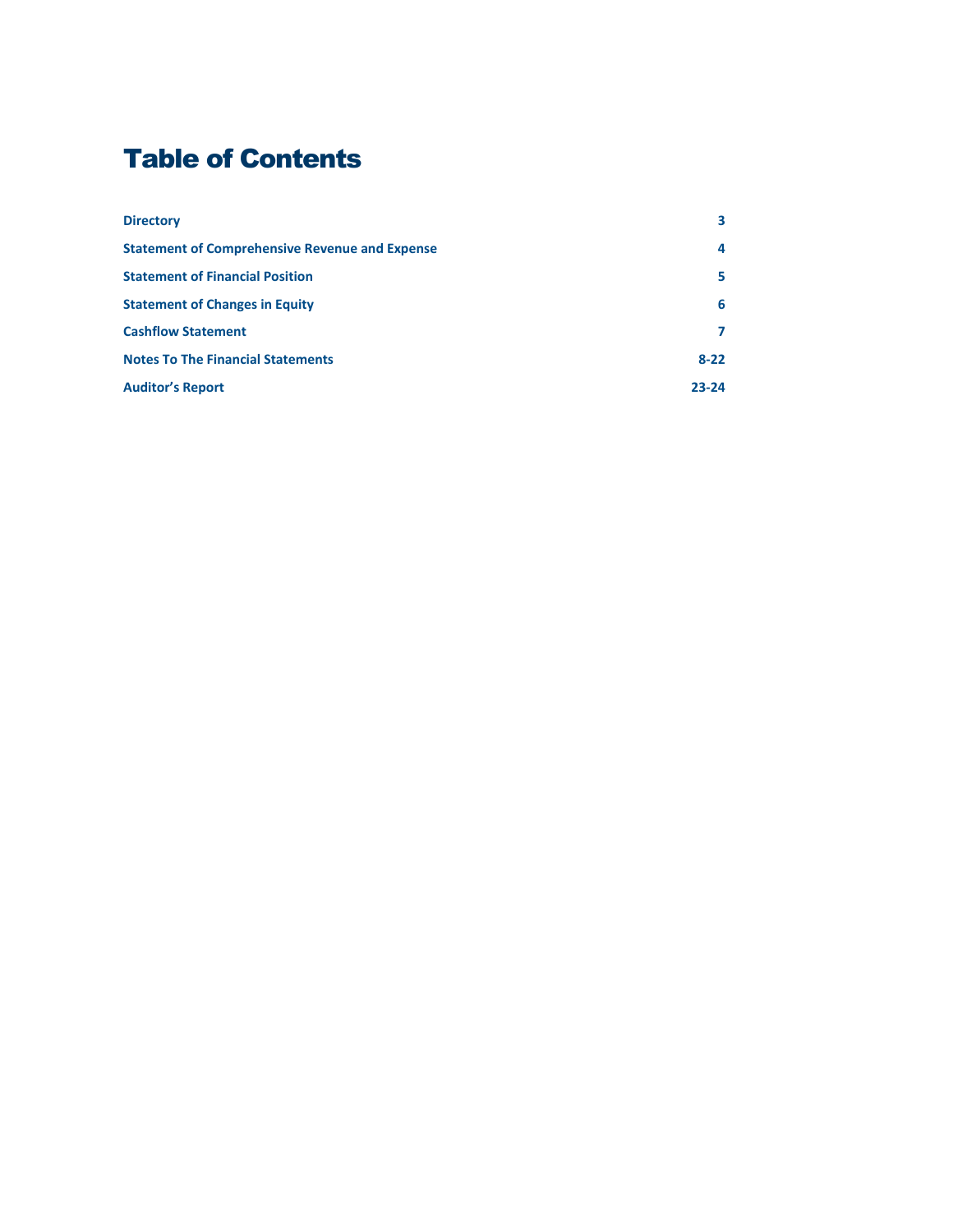# Table of Contents

| <b>Directory</b>                                      | 3         |
|-------------------------------------------------------|-----------|
| <b>Statement of Comprehensive Revenue and Expense</b> | 4         |
| <b>Statement of Financial Position</b>                | 5         |
| <b>Statement of Changes in Equity</b>                 | 6         |
| <b>Cashflow Statement</b>                             |           |
| <b>Notes To The Financial Statements</b>              | $8 - 22$  |
| <b>Auditor's Report</b>                               | $23 - 24$ |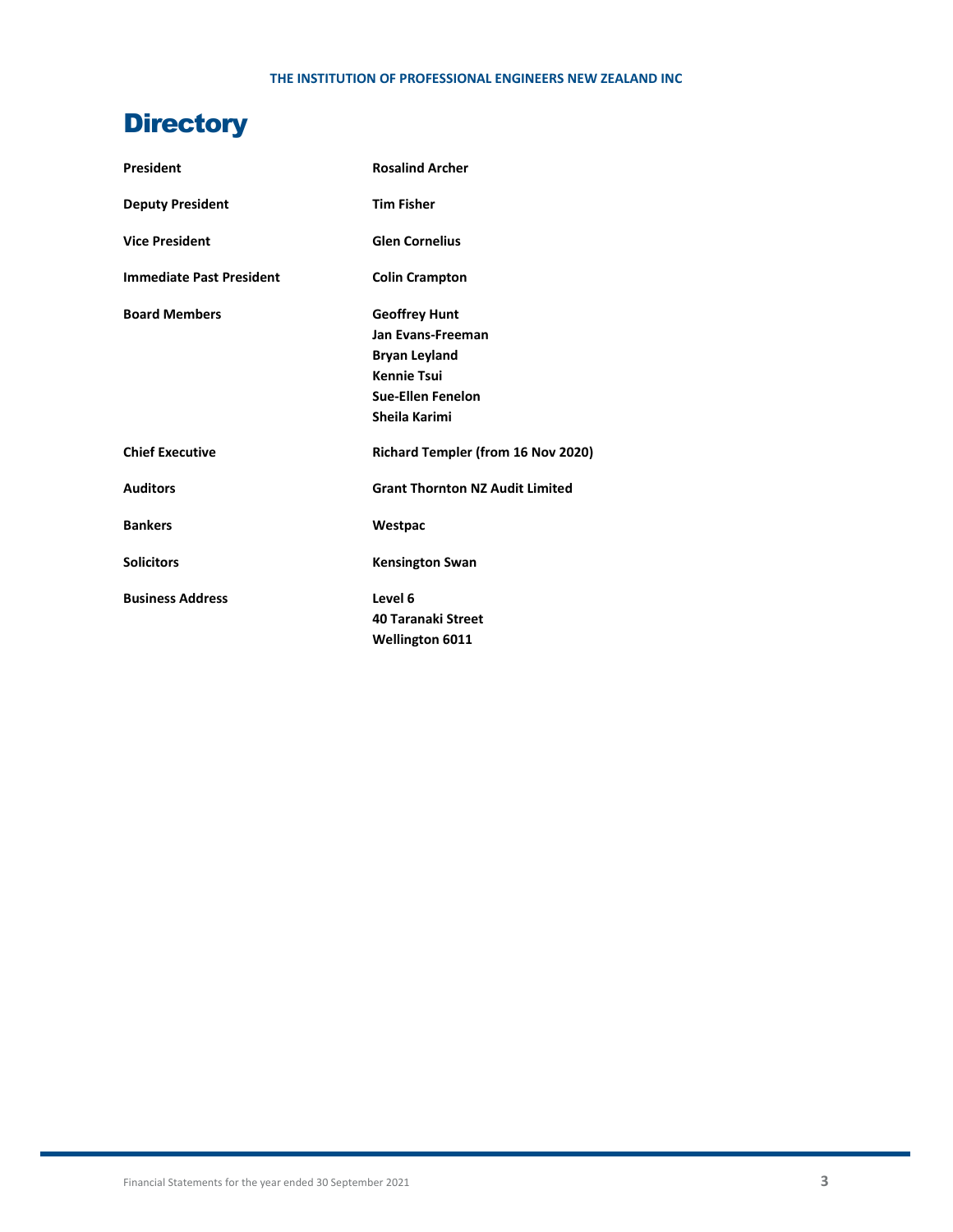# **Directory**

| <b>President</b>                | <b>Rosalind Archer</b>                    |
|---------------------------------|-------------------------------------------|
| <b>Deputy President</b>         | <b>Tim Fisher</b>                         |
| <b>Vice President</b>           | <b>Glen Cornelius</b>                     |
| <b>Immediate Past President</b> | <b>Colin Crampton</b>                     |
| <b>Board Members</b>            | <b>Geoffrey Hunt</b>                      |
|                                 | Jan Evans-Freeman                         |
|                                 | <b>Bryan Leyland</b>                      |
|                                 | <b>Kennie Tsui</b>                        |
|                                 | <b>Sue-Ellen Fenelon</b>                  |
|                                 | Sheila Karimi                             |
| <b>Chief Executive</b>          | <b>Richard Templer (from 16 Nov 2020)</b> |
| <b>Auditors</b>                 | <b>Grant Thornton NZ Audit Limited</b>    |
| <b>Bankers</b>                  | Westpac                                   |
| <b>Solicitors</b>               | <b>Kensington Swan</b>                    |
| <b>Business Address</b>         | Level 6                                   |
|                                 | <b>40 Taranaki Street</b>                 |
|                                 | <b>Wellington 6011</b>                    |
|                                 |                                           |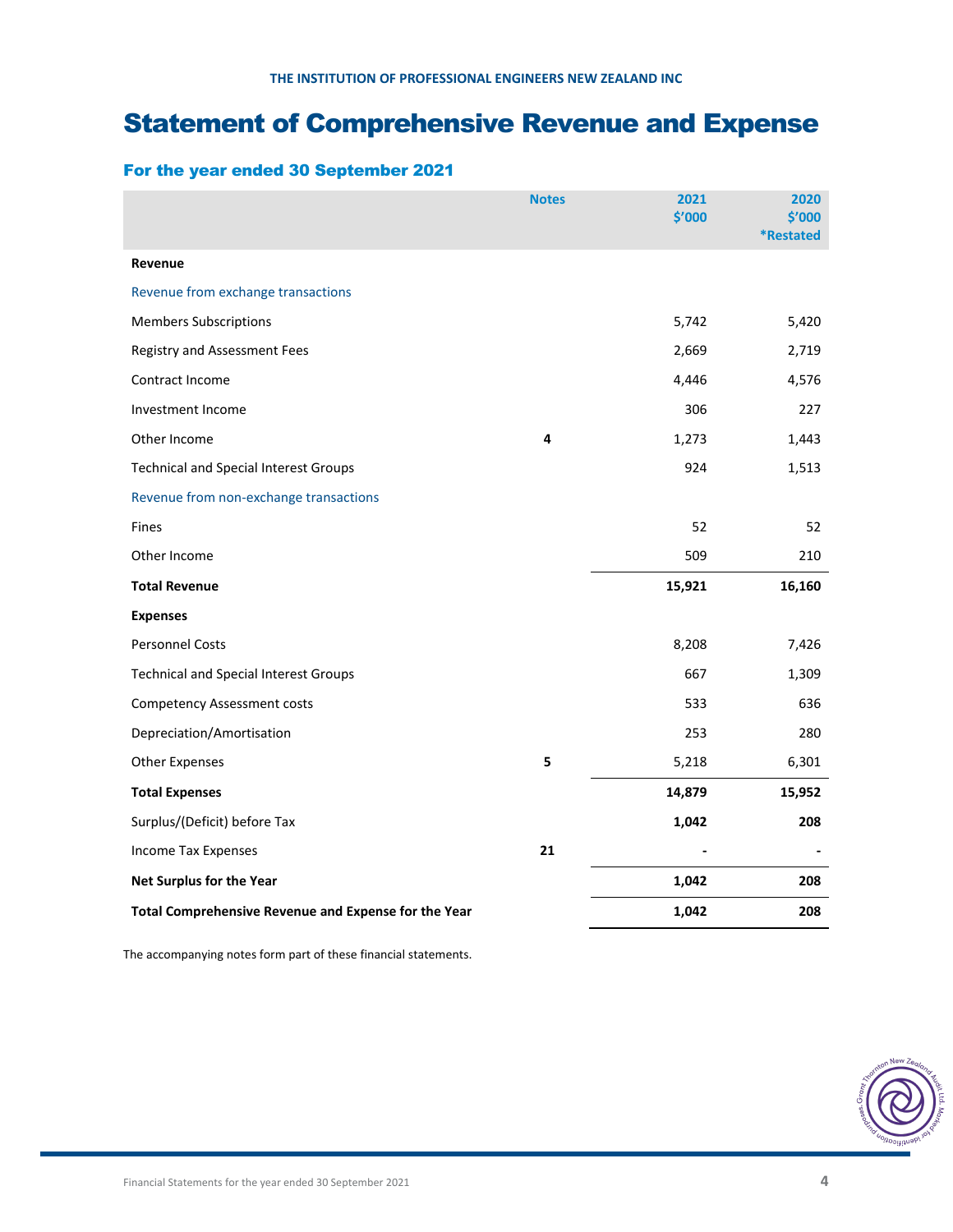# Statement of Comprehensive Revenue and Expense

# For the year ended 30 September 2021

|                                                      | <b>Notes</b> | 2021<br>\$'000 | 2020<br>\$'000<br><b>*Restated</b> |
|------------------------------------------------------|--------------|----------------|------------------------------------|
| Revenue                                              |              |                |                                    |
| Revenue from exchange transactions                   |              |                |                                    |
| <b>Members Subscriptions</b>                         |              | 5,742          | 5,420                              |
| Registry and Assessment Fees                         |              | 2,669          | 2,719                              |
| Contract Income                                      |              | 4,446          | 4,576                              |
| Investment Income                                    |              | 306            | 227                                |
| Other Income                                         | 4            | 1,273          | 1,443                              |
| <b>Technical and Special Interest Groups</b>         |              | 924            | 1,513                              |
| Revenue from non-exchange transactions               |              |                |                                    |
| Fines                                                |              | 52             | 52                                 |
| Other Income                                         |              | 509            | 210                                |
| <b>Total Revenue</b>                                 |              | 15,921         | 16,160                             |
| <b>Expenses</b>                                      |              |                |                                    |
| <b>Personnel Costs</b>                               |              | 8,208          | 7,426                              |
| <b>Technical and Special Interest Groups</b>         |              | 667            | 1,309                              |
| <b>Competency Assessment costs</b>                   |              | 533            | 636                                |
| Depreciation/Amortisation                            |              | 253            | 280                                |
| <b>Other Expenses</b>                                | 5            | 5,218          | 6,301                              |
| <b>Total Expenses</b>                                |              | 14,879         | 15,952                             |
| Surplus/(Deficit) before Tax                         |              | 1,042          | 208                                |
| Income Tax Expenses                                  | 21           |                |                                    |
| Net Surplus for the Year                             |              | 1,042          | 208                                |
| Total Comprehensive Revenue and Expense for the Year |              | 1,042          | 208                                |

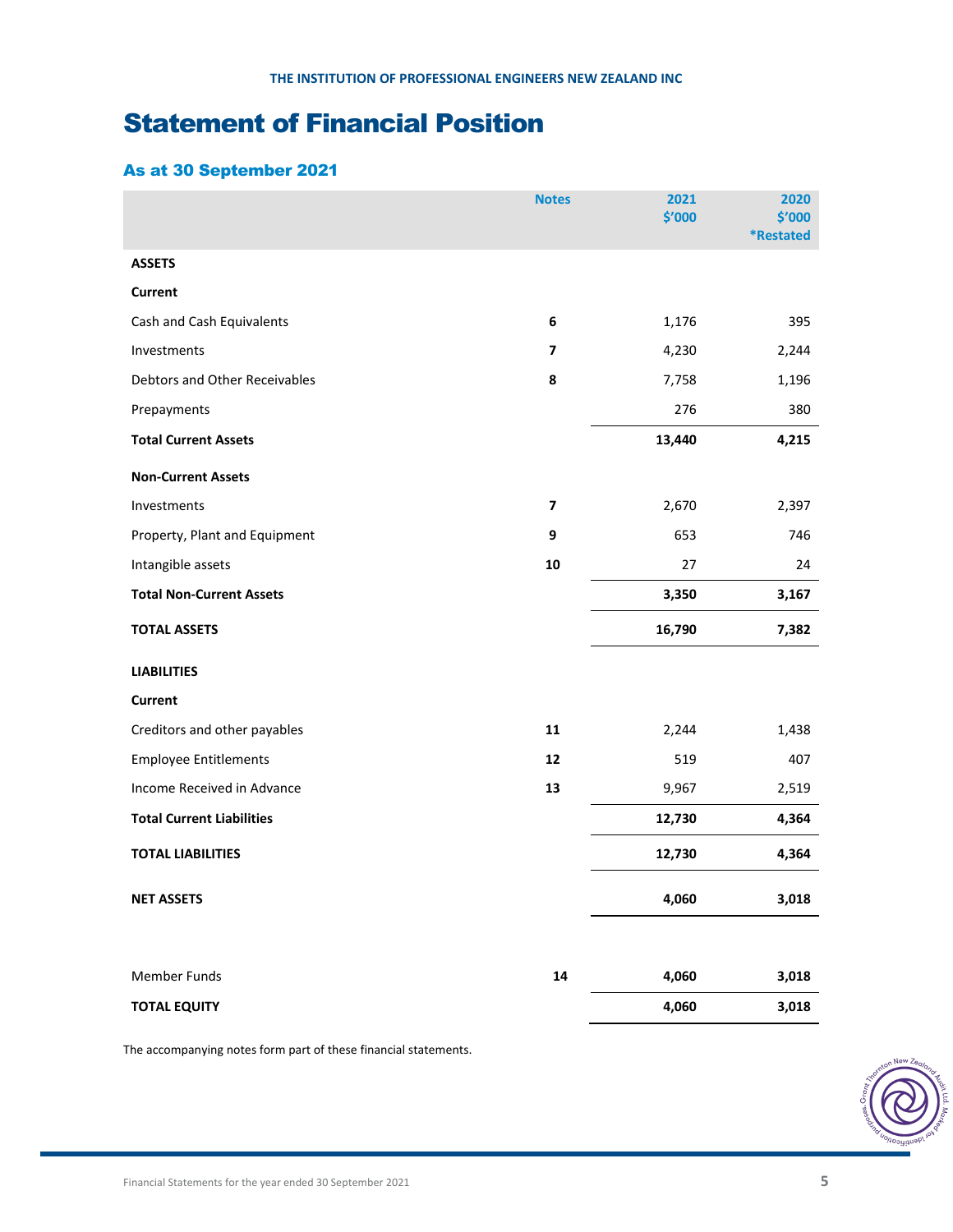# Statement of Financial Position

# As at 30 September 2021

|                                  | <b>Notes</b>            | 2021<br>\$'000 | 2020<br>\$′000   |
|----------------------------------|-------------------------|----------------|------------------|
|                                  |                         |                | <b>*Restated</b> |
| <b>ASSETS</b>                    |                         |                |                  |
| <b>Current</b>                   |                         |                |                  |
| Cash and Cash Equivalents        | 6                       | 1,176          | 395              |
| Investments                      | 7                       | 4,230          | 2,244            |
| Debtors and Other Receivables    | 8                       | 7,758          | 1,196            |
| Prepayments                      |                         | 276            | 380              |
| <b>Total Current Assets</b>      |                         | 13,440         | 4,215            |
| <b>Non-Current Assets</b>        |                         |                |                  |
| Investments                      | $\overline{\mathbf{z}}$ | 2,670          | 2,397            |
| Property, Plant and Equipment    | 9                       | 653            | 746              |
| Intangible assets                | 10                      | 27             | 24               |
| <b>Total Non-Current Assets</b>  |                         | 3,350          | 3,167            |
| <b>TOTAL ASSETS</b>              |                         | 16,790         | 7,382            |
| <b>LIABILITIES</b>               |                         |                |                  |
| <b>Current</b>                   |                         |                |                  |
| Creditors and other payables     | 11                      | 2,244          | 1,438            |
| <b>Employee Entitlements</b>     | 12                      | 519            | 407              |
| Income Received in Advance       | 13                      | 9,967          | 2,519            |
| <b>Total Current Liabilities</b> |                         | 12,730         | 4,364            |
| <b>TOTAL LIABILITIES</b>         |                         | 12,730         | 4,364            |
| <b>NET ASSETS</b>                |                         | 4,060          | 3,018            |
| <b>Member Funds</b>              | 14                      | 4,060          | 3,018            |
| <b>TOTAL EQUITY</b>              |                         | 4,060          | 3,018            |

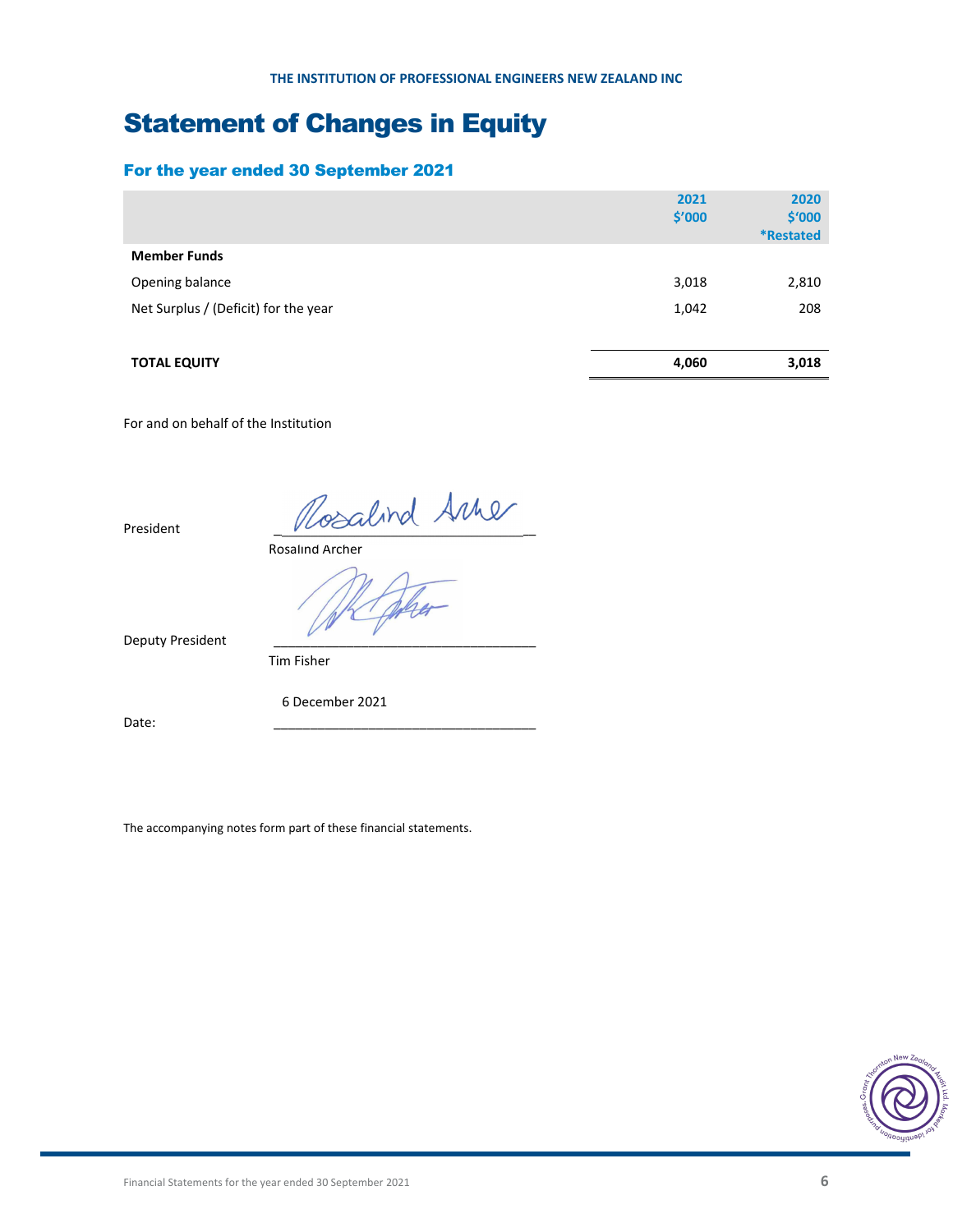# Statement of Changes in Equity

# For the year ended 30 September 2021

|                                      | 2021<br>\$′000 | 2020<br>\$'000<br><i><b>*Restated</b></i> |
|--------------------------------------|----------------|-------------------------------------------|
| <b>Member Funds</b>                  |                |                                           |
| Opening balance                      | 3,018          | 2,810                                     |
| Net Surplus / (Deficit) for the year | 1,042          | 208                                       |
|                                      |                |                                           |
| <b>TOTAL EQUITY</b>                  | 4,060          | 3,018                                     |

For and on behalf of the Institution

President  $\sqrt{V}$ 

Rosalind Archer

Deputy President

Tim Fisher

6 December 2021

Date: \_\_\_\_\_\_\_\_\_\_\_\_\_\_\_\_\_\_\_\_\_\_\_\_\_\_\_\_\_\_\_\_\_\_\_\_

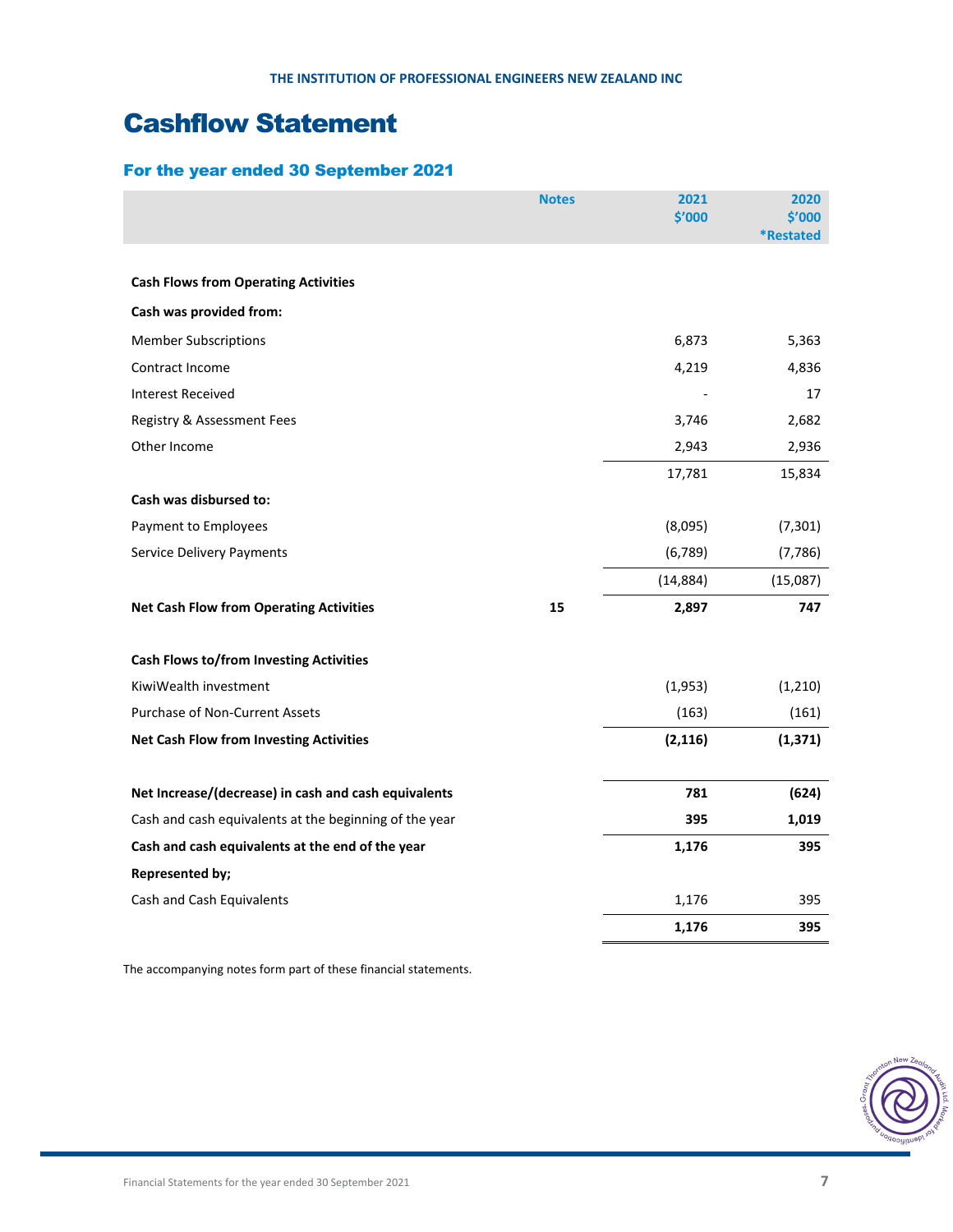# Cashflow Statement

# For the year ended 30 September 2021

|                                                        | <b>Notes</b> | 2021      | 2020                       |
|--------------------------------------------------------|--------------|-----------|----------------------------|
|                                                        |              | \$′000    | \$'000<br><b>*Restated</b> |
|                                                        |              |           |                            |
| <b>Cash Flows from Operating Activities</b>            |              |           |                            |
| Cash was provided from:                                |              |           |                            |
| <b>Member Subscriptions</b>                            |              | 6,873     | 5,363                      |
| Contract Income                                        |              | 4,219     | 4,836                      |
| <b>Interest Received</b>                               |              |           | 17                         |
| Registry & Assessment Fees                             |              | 3,746     | 2,682                      |
| Other Income                                           |              | 2,943     | 2,936                      |
|                                                        |              | 17,781    | 15,834                     |
| Cash was disbursed to:                                 |              |           |                            |
| Payment to Employees                                   |              | (8,095)   | (7, 301)                   |
| Service Delivery Payments                              |              | (6, 789)  | (7, 786)                   |
|                                                        |              | (14, 884) | (15,087)                   |
| <b>Net Cash Flow from Operating Activities</b>         | 15           | 2,897     | 747                        |
| <b>Cash Flows to/from Investing Activities</b>         |              |           |                            |
| KiwiWealth investment                                  |              | (1,953)   | (1, 210)                   |
| Purchase of Non-Current Assets                         |              | (163)     | (161)                      |
| <b>Net Cash Flow from Investing Activities</b>         |              | (2, 116)  | (1, 371)                   |
| Net Increase/(decrease) in cash and cash equivalents   |              | 781       | (624)                      |
| Cash and cash equivalents at the beginning of the year |              | 395       | 1,019                      |
| Cash and cash equivalents at the end of the year       |              | 1,176     | 395                        |
| <b>Represented by;</b>                                 |              |           |                            |
| Cash and Cash Equivalents                              |              | 1,176     | 395                        |
|                                                        |              | 1,176     | 395                        |

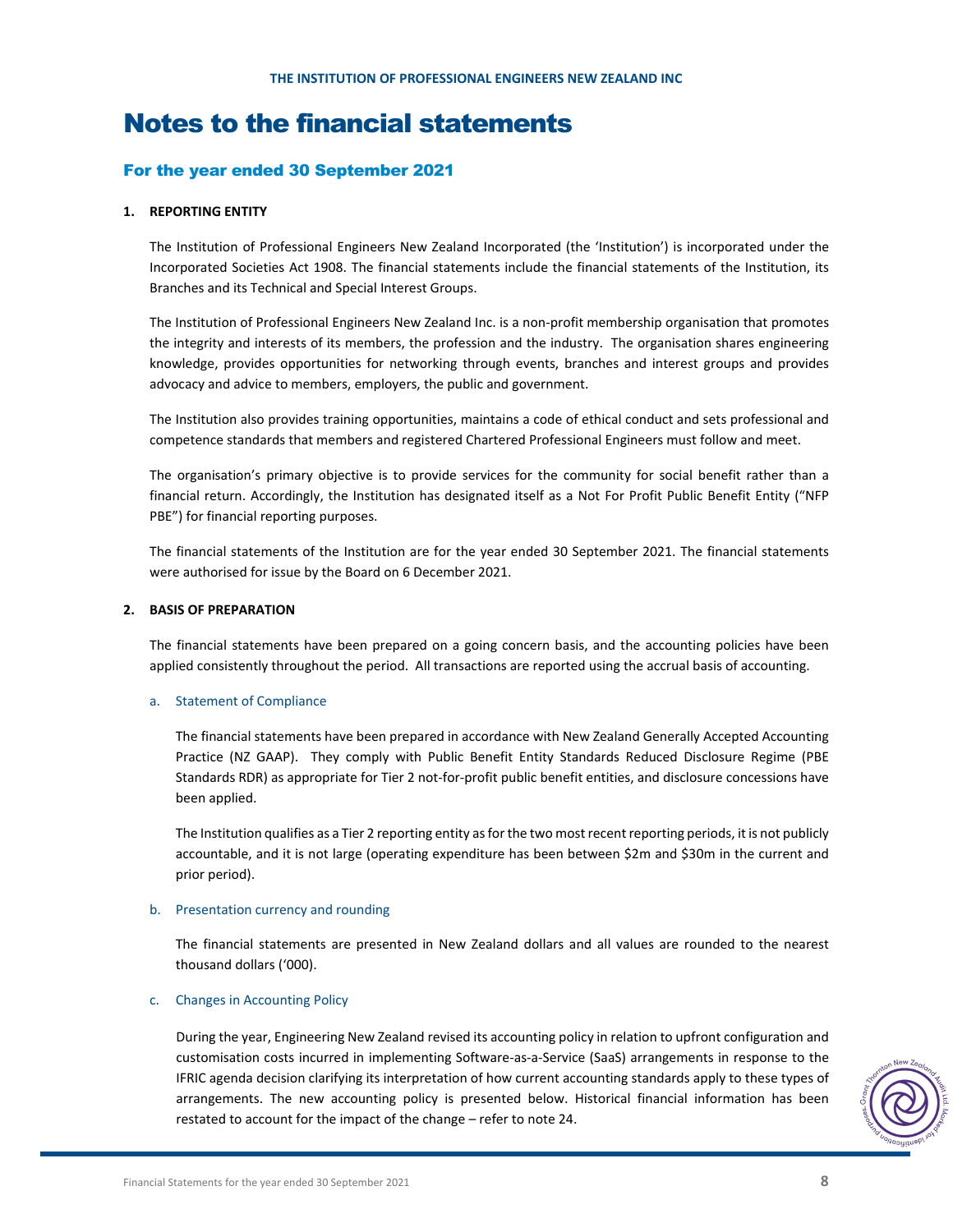# Notes to the financial statements

# For the year ended 30 September 2021

# **1. REPORTING ENTITY**

The Institution of Professional Engineers New Zealand Incorporated (the 'Institution') is incorporated under the Incorporated Societies Act 1908. The financial statements include the financial statements of the Institution, its Branches and its Technical and Special Interest Groups.

The Institution of Professional Engineers New Zealand Inc. is a non‐profit membership organisation that promotes the integrity and interests of its members, the profession and the industry. The organisation shares engineering knowledge, provides opportunities for networking through events, branches and interest groups and provides advocacy and advice to members, employers, the public and government.

The Institution also provides training opportunities, maintains a code of ethical conduct and sets professional and competence standards that members and registered Chartered Professional Engineers must follow and meet.

The organisation's primary objective is to provide services for the community for social benefit rather than a financial return. Accordingly, the Institution has designated itself as a Not For Profit Public Benefit Entity ("NFP PBE") for financial reporting purposes.

The financial statements of the Institution are for the year ended 30 September 2021. The financial statements were authorised for issue by the Board on 6 December 2021.

# **2. BASIS OF PREPARATION**

The financial statements have been prepared on a going concern basis, and the accounting policies have been applied consistently throughout the period. All transactions are reported using the accrual basis of accounting.

# a. Statement of Compliance

The financial statements have been prepared in accordance with New Zealand Generally Accepted Accounting Practice (NZ GAAP). They comply with Public Benefit Entity Standards Reduced Disclosure Regime (PBE Standards RDR) as appropriate for Tier 2 not-for-profit public benefit entities, and disclosure concessions have been applied.

The Institution qualifies as a Tier 2 reporting entity as for the two most recent reporting periods, it is not publicly accountable, and it is not large (operating expenditure has been between \$2m and \$30m in the current and prior period).

# b. Presentation currency and rounding

The financial statements are presented in New Zealand dollars and all values are rounded to the nearest thousand dollars ('000).

# c. Changes in Accounting Policy

During the year, Engineering New Zealand revised its accounting policy in relation to upfront configuration and customisation costs incurred in implementing Software‐as‐a‐Service (SaaS) arrangements in response to the IFRIC agenda decision clarifying its interpretation of how current accounting standards apply to these types of arrangements. The new accounting policy is presented below. Historical financial information has been restated to account for the impact of the change – refer to note 24.

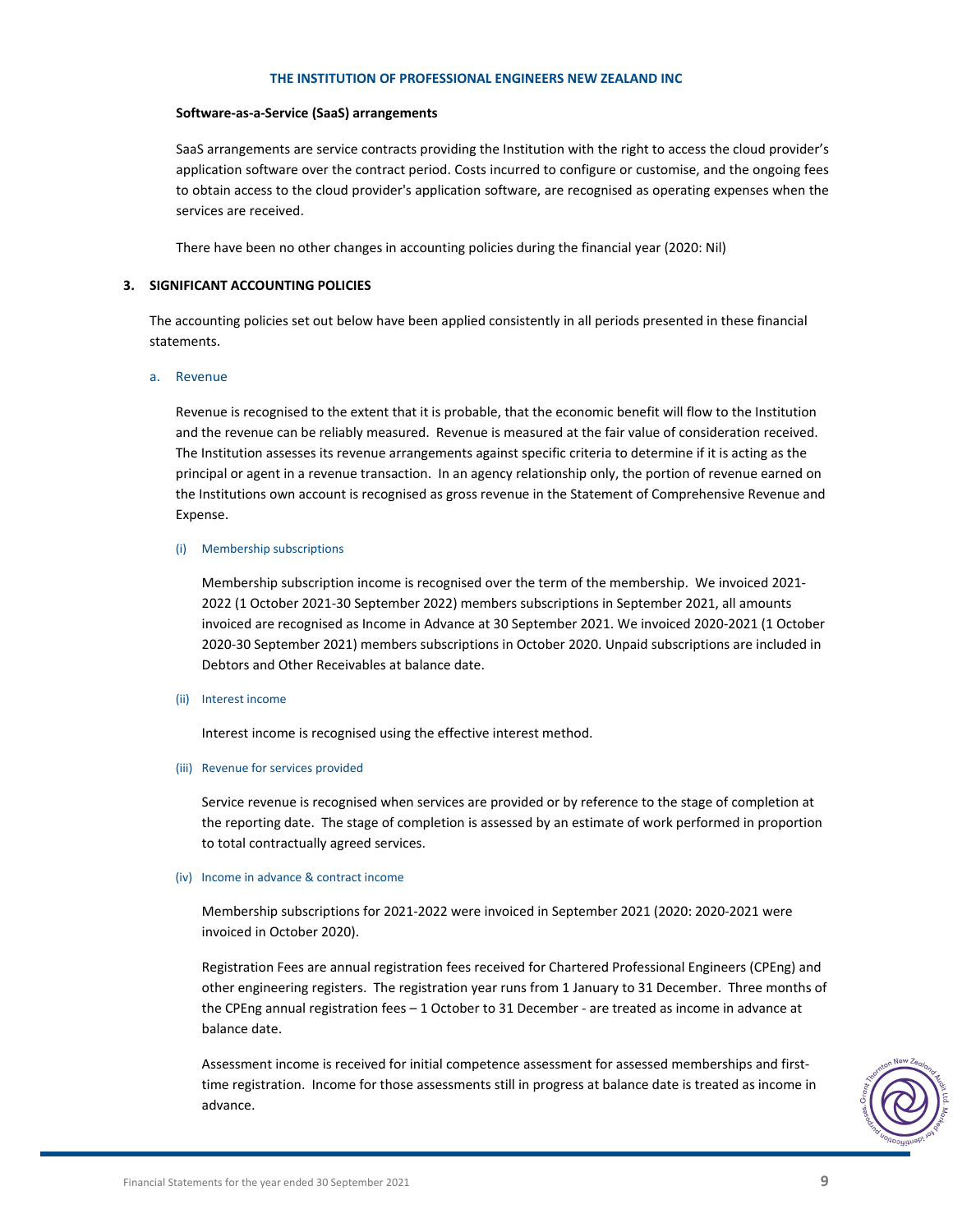#### **Software‐as‐a‐Service (SaaS) arrangements**

SaaS arrangements are service contracts providing the Institution with the right to access the cloud provider's application software over the contract period. Costs incurred to configure or customise, and the ongoing fees to obtain access to the cloud provider's application software, are recognised as operating expenses when the services are received.

There have been no other changes in accounting policies during the financial year (2020: Nil)

#### **3. SIGNIFICANT ACCOUNTING POLICIES**

The accounting policies set out below have been applied consistently in all periods presented in these financial statements.

#### a. Revenue

Revenue is recognised to the extent that it is probable, that the economic benefit will flow to the Institution and the revenue can be reliably measured. Revenue is measured at the fair value of consideration received. The Institution assesses its revenue arrangements against specific criteria to determine if it is acting as the principal or agent in a revenue transaction. In an agency relationship only, the portion of revenue earned on the Institutions own account is recognised as gross revenue in the Statement of Comprehensive Revenue and Expense.

#### (i) Membership subscriptions

Membership subscription income is recognised over the term of the membership. We invoiced 2021‐ 2022 (1 October 2021‐30 September 2022) members subscriptions in September 2021, all amounts invoiced are recognised as Income in Advance at 30 September 2021. We invoiced 2020-2021 (1 October 2020‐30 September 2021) members subscriptions in October 2020. Unpaid subscriptions are included in Debtors and Other Receivables at balance date.

#### (ii) Interest income

Interest income is recognised using the effective interest method.

# (iii) Revenue for services provided

Service revenue is recognised when services are provided or by reference to the stage of completion at the reporting date. The stage of completion is assessed by an estimate of work performed in proportion to total contractually agreed services.

#### (iv) Income in advance & contract income

Membership subscriptions for 2021‐2022 were invoiced in September 2021 (2020: 2020‐2021 were invoiced in October 2020).

Registration Fees are annual registration fees received for Chartered Professional Engineers (CPEng) and other engineering registers. The registration year runs from 1 January to 31 December. Three months of the CPEng annual registration fees – 1 October to 31 December ‐ are treated as income in advance at balance date.

Assessment income is received for initial competence assessment for assessed memberships and firsttime registration. Income for those assessments still in progress at balance date is treated as income in advance.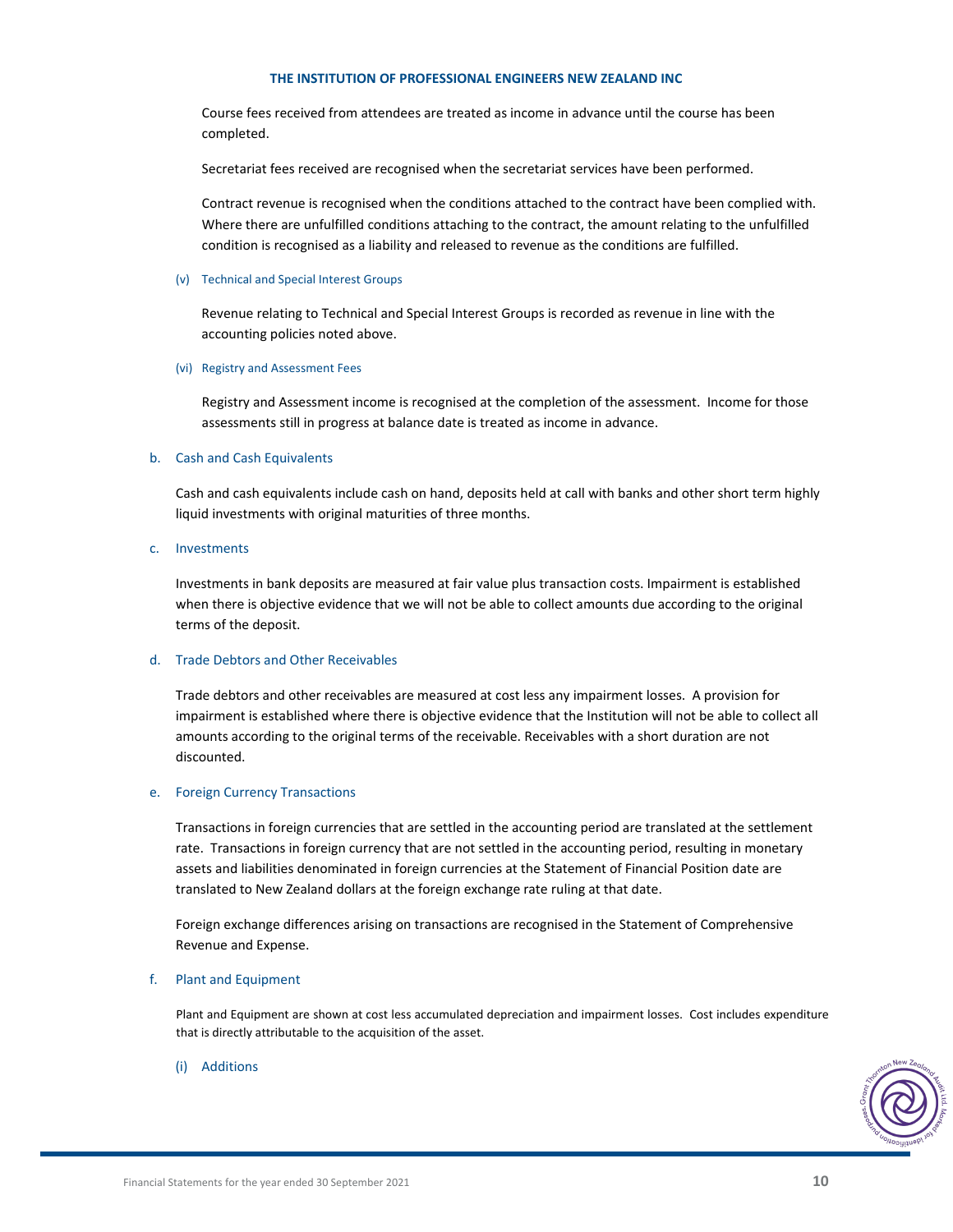Course fees received from attendees are treated as income in advance until the course has been completed.

Secretariat fees received are recognised when the secretariat services have been performed.

Contract revenue is recognised when the conditions attached to the contract have been complied with. Where there are unfulfilled conditions attaching to the contract, the amount relating to the unfulfilled condition is recognised as a liability and released to revenue as the conditions are fulfilled.

# (v) Technical and Special Interest Groups

Revenue relating to Technical and Special Interest Groups is recorded as revenue in line with the accounting policies noted above.

# (vi) Registry and Assessment Fees

Registry and Assessment income is recognised at the completion of the assessment. Income for those assessments still in progress at balance date is treated as income in advance.

# b. Cash and Cash Equivalents

Cash and cash equivalents include cash on hand, deposits held at call with banks and other short term highly liquid investments with original maturities of three months.

# c. Investments

Investments in bank deposits are measured at fair value plus transaction costs. Impairment is established when there is objective evidence that we will not be able to collect amounts due according to the original terms of the deposit.

# d. Trade Debtors and Other Receivables

Trade debtors and other receivables are measured at cost less any impairment losses. A provision for impairment is established where there is objective evidence that the Institution will not be able to collect all amounts according to the original terms of the receivable. Receivables with a short duration are not discounted.

# e. Foreign Currency Transactions

Transactions in foreign currencies that are settled in the accounting period are translated at the settlement rate. Transactions in foreign currency that are not settled in the accounting period, resulting in monetary assets and liabilities denominated in foreign currencies at the Statement of Financial Position date are translated to New Zealand dollars at the foreign exchange rate ruling at that date.

Foreign exchange differences arising on transactions are recognised in the Statement of Comprehensive Revenue and Expense.

# f. Plant and Equipment

Plant and Equipment are shown at cost less accumulated depreciation and impairment losses. Cost includes expenditure that is directly attributable to the acquisition of the asset.

# (i) Additions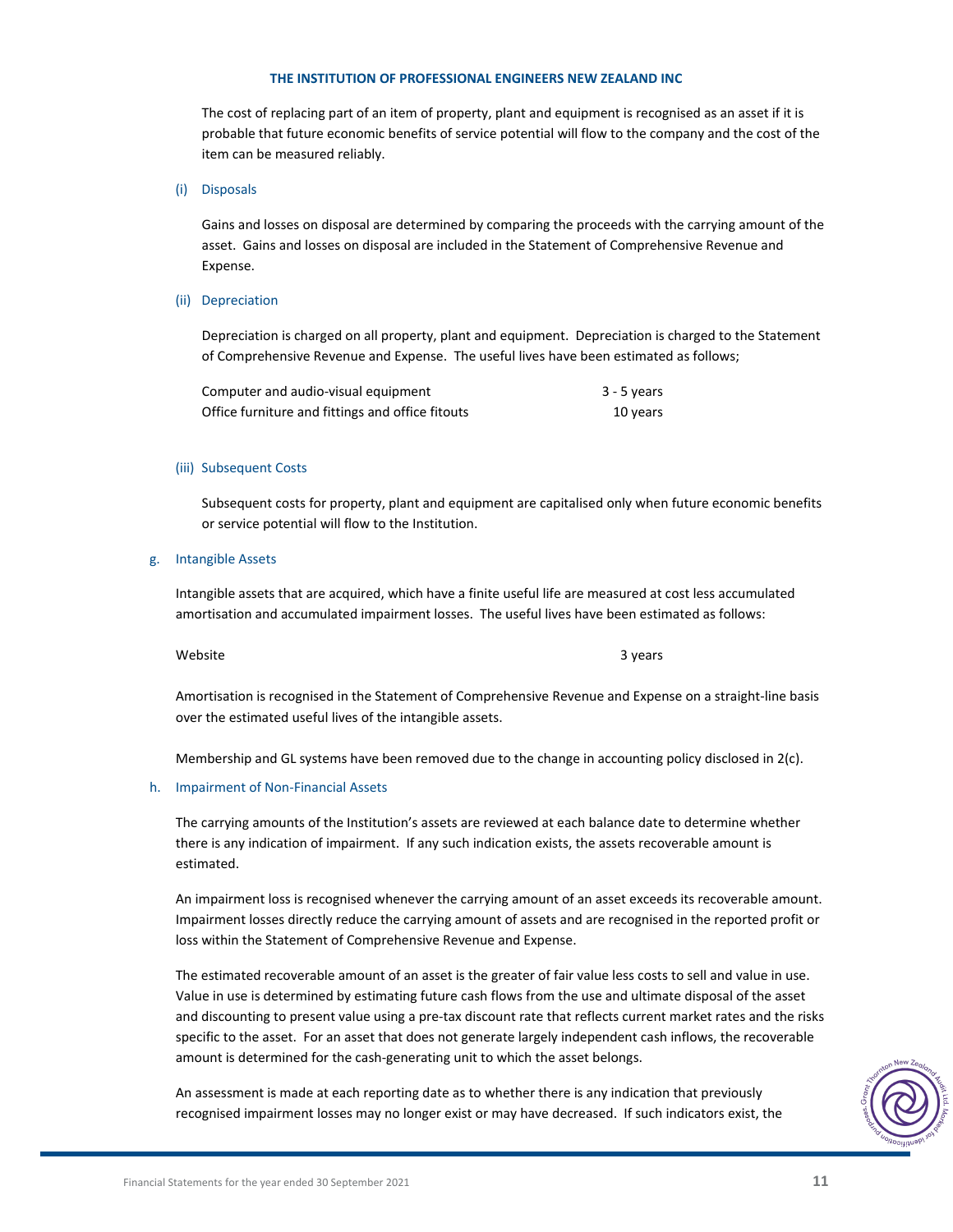The cost of replacing part of an item of property, plant and equipment is recognised as an asset if it is probable that future economic benefits of service potential will flow to the company and the cost of the item can be measured reliably.

(i) Disposals

Gains and losses on disposal are determined by comparing the proceeds with the carrying amount of the asset. Gains and losses on disposal are included in the Statement of Comprehensive Revenue and Expense.

# (ii) Depreciation

Depreciation is charged on all property, plant and equipment. Depreciation is charged to the Statement of Comprehensive Revenue and Expense. The useful lives have been estimated as follows;

| Computer and audio-visual equipment              | 3 - 5 years |
|--------------------------------------------------|-------------|
| Office furniture and fittings and office fitouts | 10 years    |

#### (iii) Subsequent Costs

Subsequent costs for property, plant and equipment are capitalised only when future economic benefits or service potential will flow to the Institution.

#### g. Intangible Assets

Intangible assets that are acquired, which have a finite useful life are measured at cost less accumulated amortisation and accumulated impairment losses. The useful lives have been estimated as follows:

Website 3 years and the set of the set of the set of the set of the set of the set of the set of the set of the set of the set of the set of the set of the set of the set of the set of the set of the set of the set of the

Amortisation is recognised in the Statement of Comprehensive Revenue and Expense on a straight‐line basis over the estimated useful lives of the intangible assets.

Membership and GL systems have been removed due to the change in accounting policy disclosed in 2(c).

# h. Impairment of Non-Financial Assets

The carrying amounts of the Institution's assets are reviewed at each balance date to determine whether there is any indication of impairment. If any such indication exists, the assets recoverable amount is estimated.

An impairment loss is recognised whenever the carrying amount of an asset exceeds its recoverable amount. Impairment losses directly reduce the carrying amount of assets and are recognised in the reported profit or loss within the Statement of Comprehensive Revenue and Expense.

The estimated recoverable amount of an asset is the greater of fair value less costs to sell and value in use. Value in use is determined by estimating future cash flows from the use and ultimate disposal of the asset and discounting to present value using a pre‐tax discount rate that reflects current market rates and the risks specific to the asset. For an asset that does not generate largely independent cash inflows, the recoverable amount is determined for the cash-generating unit to which the asset belongs.

An assessment is made at each reporting date as to whether there is any indication that previously recognised impairment losses may no longer exist or may have decreased. If such indicators exist, the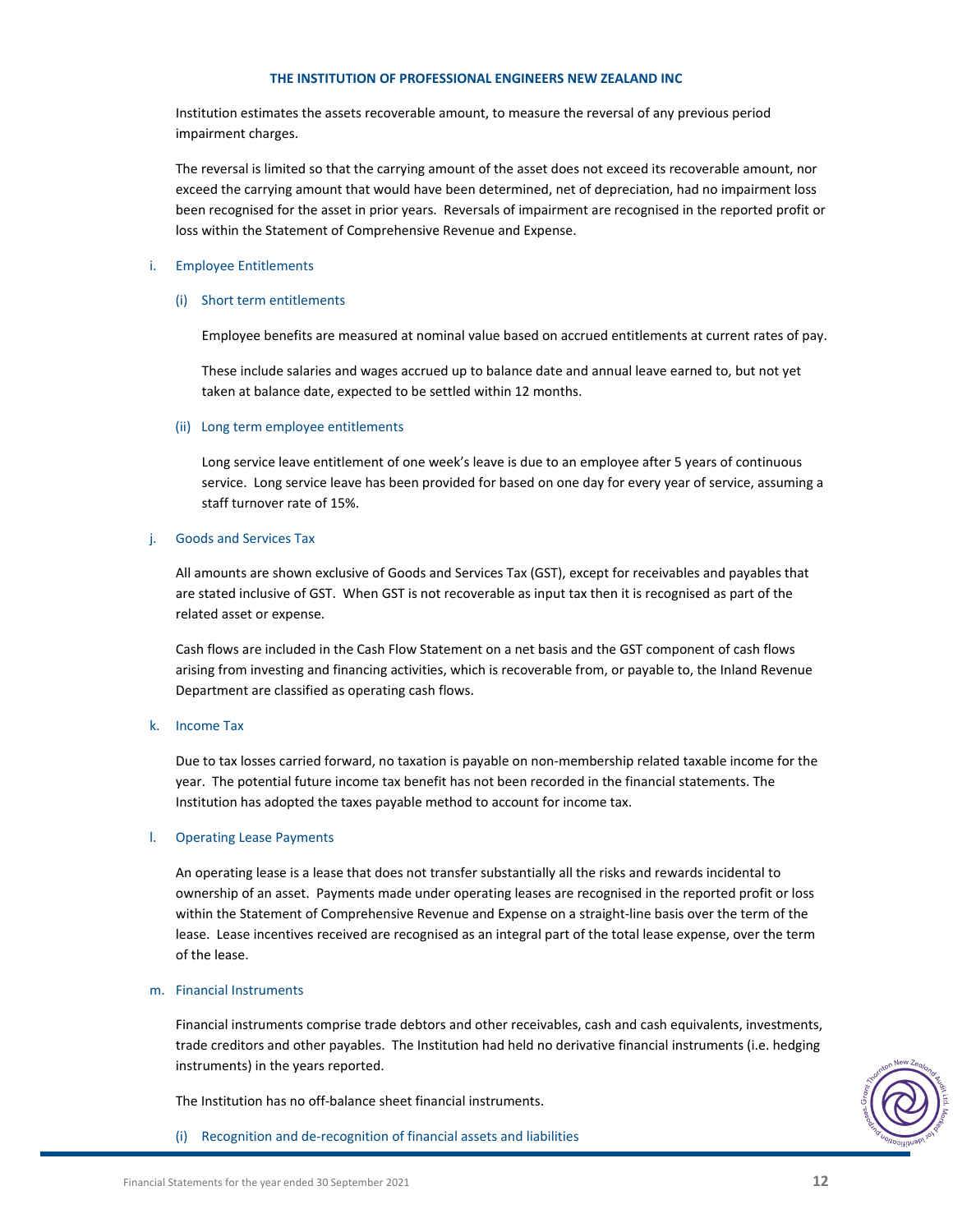Institution estimates the assets recoverable amount, to measure the reversal of any previous period impairment charges.

The reversal is limited so that the carrying amount of the asset does not exceed its recoverable amount, nor exceed the carrying amount that would have been determined, net of depreciation, had no impairment loss been recognised for the asset in prior years. Reversals of impairment are recognised in the reported profit or loss within the Statement of Comprehensive Revenue and Expense.

# i. Employee Entitlements

# (i) Short term entitlements

Employee benefits are measured at nominal value based on accrued entitlements at current rates of pay.

These include salaries and wages accrued up to balance date and annual leave earned to, but not yet taken at balance date, expected to be settled within 12 months.

# (ii) Long term employee entitlements

Long service leave entitlement of one week's leave is due to an employee after 5 years of continuous service. Long service leave has been provided for based on one day for every year of service, assuming a staff turnover rate of 15%.

# j. Goods and Services Tax

All amounts are shown exclusive of Goods and Services Tax (GST), except for receivables and payables that are stated inclusive of GST. When GST is not recoverable as input tax then it is recognised as part of the related asset or expense.

Cash flows are included in the Cash Flow Statement on a net basis and the GST component of cash flows arising from investing and financing activities, which is recoverable from, or payable to, the Inland Revenue Department are classified as operating cash flows.

# k. Income Tax

Due to tax losses carried forward, no taxation is payable on non-membership related taxable income for the year. The potential future income tax benefit has not been recorded in the financial statements. The Institution has adopted the taxes payable method to account for income tax.

# l. Operating Lease Payments

An operating lease is a lease that does not transfer substantially all the risks and rewards incidental to ownership of an asset. Payments made under operating leases are recognised in the reported profit or loss within the Statement of Comprehensive Revenue and Expense on a straight-line basis over the term of the lease. Lease incentives received are recognised as an integral part of the total lease expense, over the term of the lease.

# m. Financial Instruments

Financial instruments comprise trade debtors and other receivables, cash and cash equivalents, investments, trade creditors and other payables. The Institution had held no derivative financial instruments (i.e. hedging instruments) in the years reported.

The Institution has no off‐balance sheet financial instruments.

(i) Recognition and de‐recognition of financial assets and liabilities

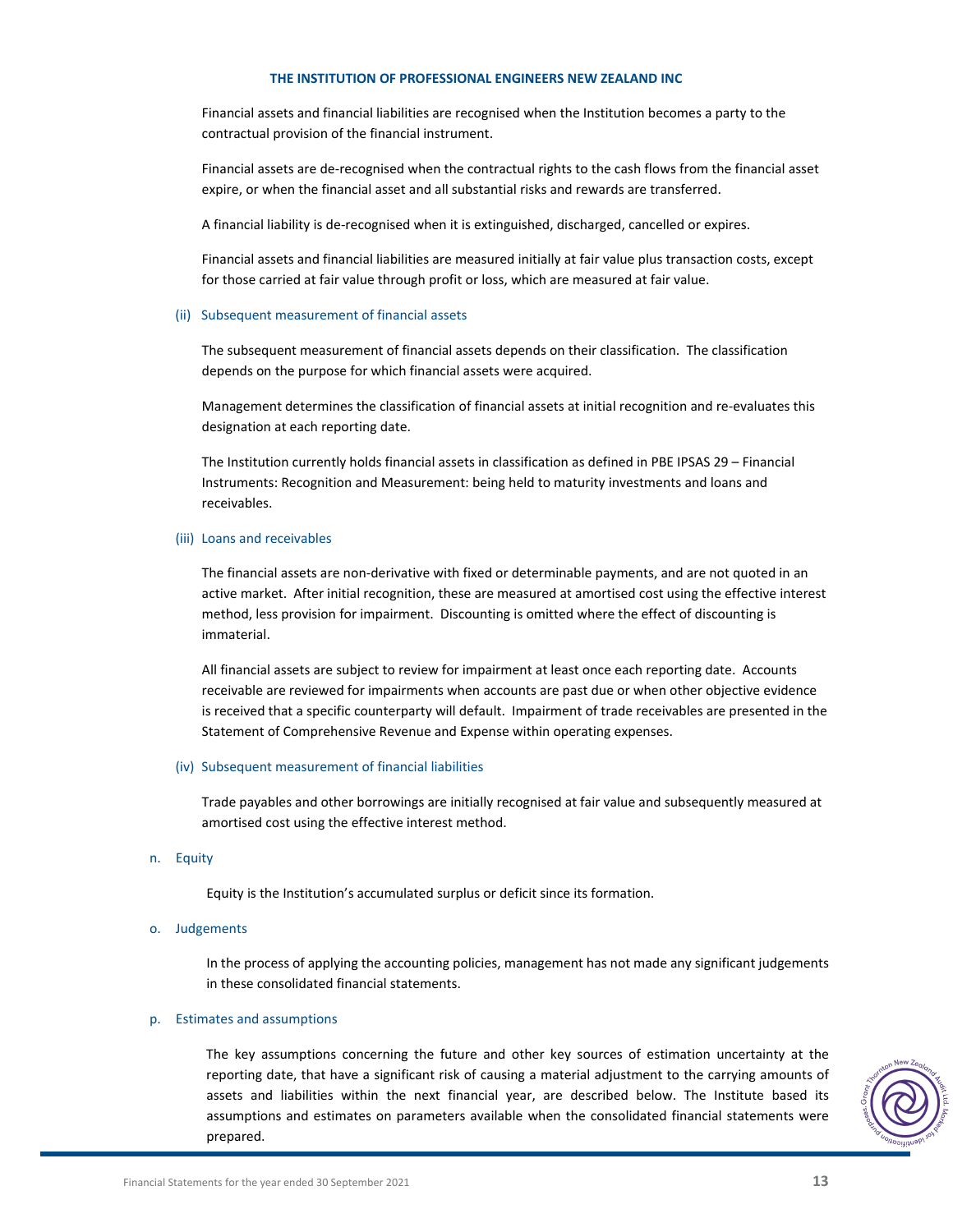Financial assets and financial liabilities are recognised when the Institution becomes a party to the contractual provision of the financial instrument.

Financial assets are de‐recognised when the contractual rights to the cash flows from the financial asset expire, or when the financial asset and all substantial risks and rewards are transferred.

A financial liability is de‐recognised when it is extinguished, discharged, cancelled or expires.

Financial assets and financial liabilities are measured initially at fair value plus transaction costs, except for those carried at fair value through profit or loss, which are measured at fair value.

#### (ii) Subsequent measurement of financial assets

The subsequent measurement of financial assets depends on their classification. The classification depends on the purpose for which financial assets were acquired.

Management determines the classification of financial assets at initial recognition and re‐evaluates this designation at each reporting date.

The Institution currently holds financial assets in classification as defined in PBE IPSAS 29 – Financial Instruments: Recognition and Measurement: being held to maturity investments and loans and receivables.

# (iii) Loans and receivables

The financial assets are non‐derivative with fixed or determinable payments, and are not quoted in an active market. After initial recognition, these are measured at amortised cost using the effective interest method, less provision for impairment. Discounting is omitted where the effect of discounting is immaterial.

All financial assets are subject to review for impairment at least once each reporting date. Accounts receivable are reviewed for impairments when accounts are past due or when other objective evidence is received that a specific counterparty will default. Impairment of trade receivables are presented in the Statement of Comprehensive Revenue and Expense within operating expenses.

# (iv) Subsequent measurement of financial liabilities

Trade payables and other borrowings are initially recognised at fair value and subsequently measured at amortised cost using the effective interest method.

# n. Equity

Equity is the Institution's accumulated surplus or deficit since its formation.

o. Judgements

In the process of applying the accounting policies, management has not made any significant judgements in these consolidated financial statements.

# p. Estimates and assumptions

The key assumptions concerning the future and other key sources of estimation uncertainty at the reporting date, that have a significant risk of causing a material adjustment to the carrying amounts of assets and liabilities within the next financial year, are described below. The Institute based its assumptions and estimates on parameters available when the consolidated financial statements were prepared.

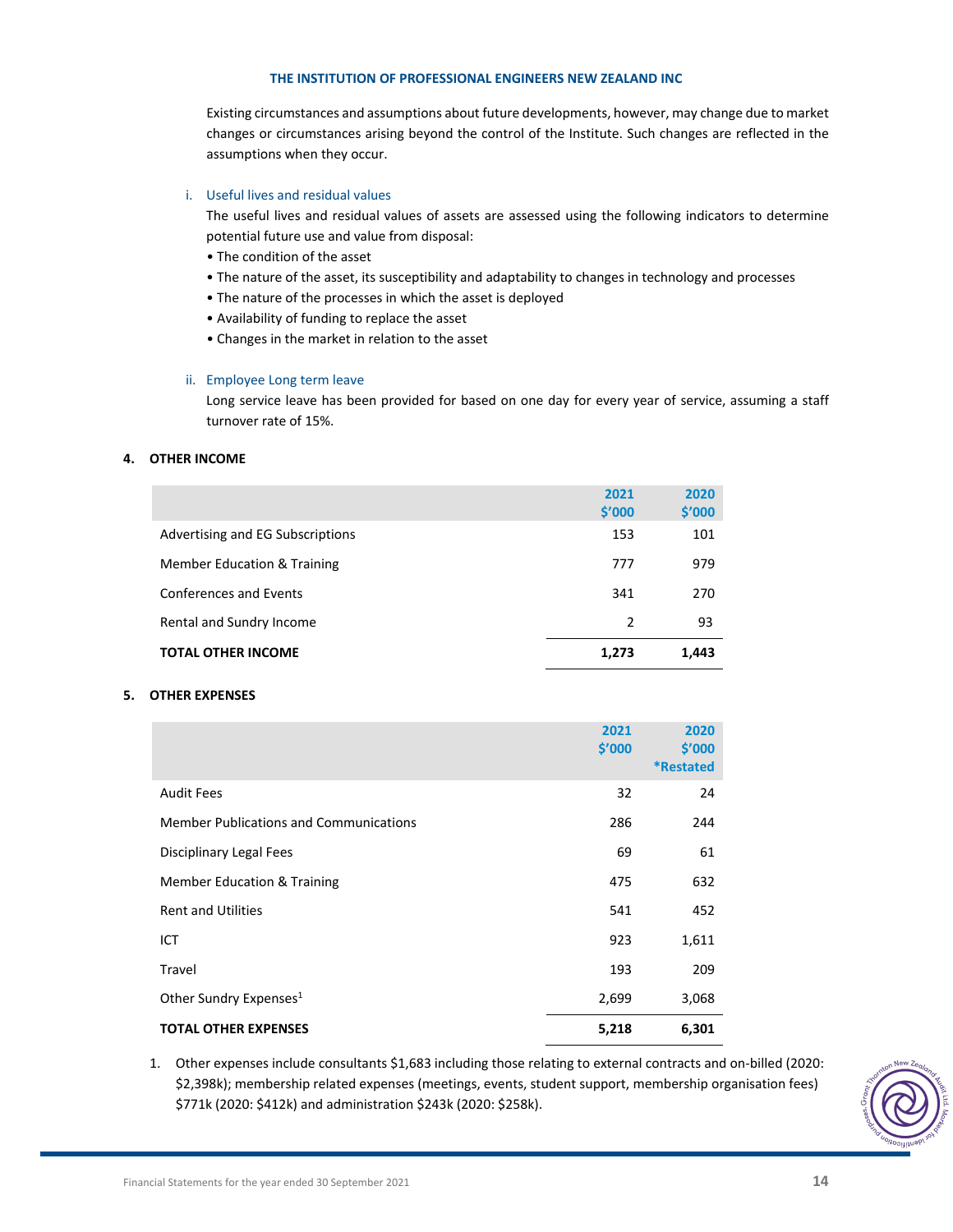Existing circumstances and assumptions about future developments, however, may change due to market changes or circumstances arising beyond the control of the Institute. Such changes are reflected in the assumptions when they occur.

# i. Useful lives and residual values

The useful lives and residual values of assets are assessed using the following indicators to determine potential future use and value from disposal:

- The condition of the asset
- The nature of the asset, its susceptibility and adaptability to changes in technology and processes
- The nature of the processes in which the asset is deployed
- Availability of funding to replace the asset
- Changes in the market in relation to the asset

# ii. Employee Long term leave

Long service leave has been provided for based on one day for every year of service, assuming a staff turnover rate of 15%.

# **4. OTHER INCOME**

|                                  | 2021<br>\$′000 | 2020<br>\$′000 |
|----------------------------------|----------------|----------------|
| Advertising and EG Subscriptions | 153            | 101            |
| Member Education & Training      | 777            | 979            |
| <b>Conferences and Events</b>    | 341            | 270            |
| Rental and Sundry Income         | 2              | 93             |
| <b>TOTAL OTHER INCOME</b>        | 1,273          | 1,443          |

# **5. OTHER EXPENSES**

|                                               | 2021<br>\$′000 | 2020<br>\$′000<br><b>*Restated</b> |  |
|-----------------------------------------------|----------------|------------------------------------|--|
| <b>Audit Fees</b>                             | 32             | 24                                 |  |
| <b>Member Publications and Communications</b> | 286            | 244                                |  |
| Disciplinary Legal Fees                       | 69             | 61                                 |  |
| <b>Member Education &amp; Training</b>        | 475            | 632                                |  |
| <b>Rent and Utilities</b>                     | 541            | 452                                |  |
| ICT                                           | 923            | 1,611                              |  |
| Travel                                        | 193            | 209                                |  |
| Other Sundry Expenses <sup>1</sup>            | 2,699          | 3,068                              |  |
| <b>TOTAL OTHER EXPENSES</b>                   | 5,218          | 6,301                              |  |

1. Other expenses include consultants \$1,683 including those relating to external contracts and on-billed (2020: \$2,398k); membership related expenses (meetings, events, student support, membership organisation fees) \$771k (2020: \$412k) and administration \$243k (2020: \$258k).

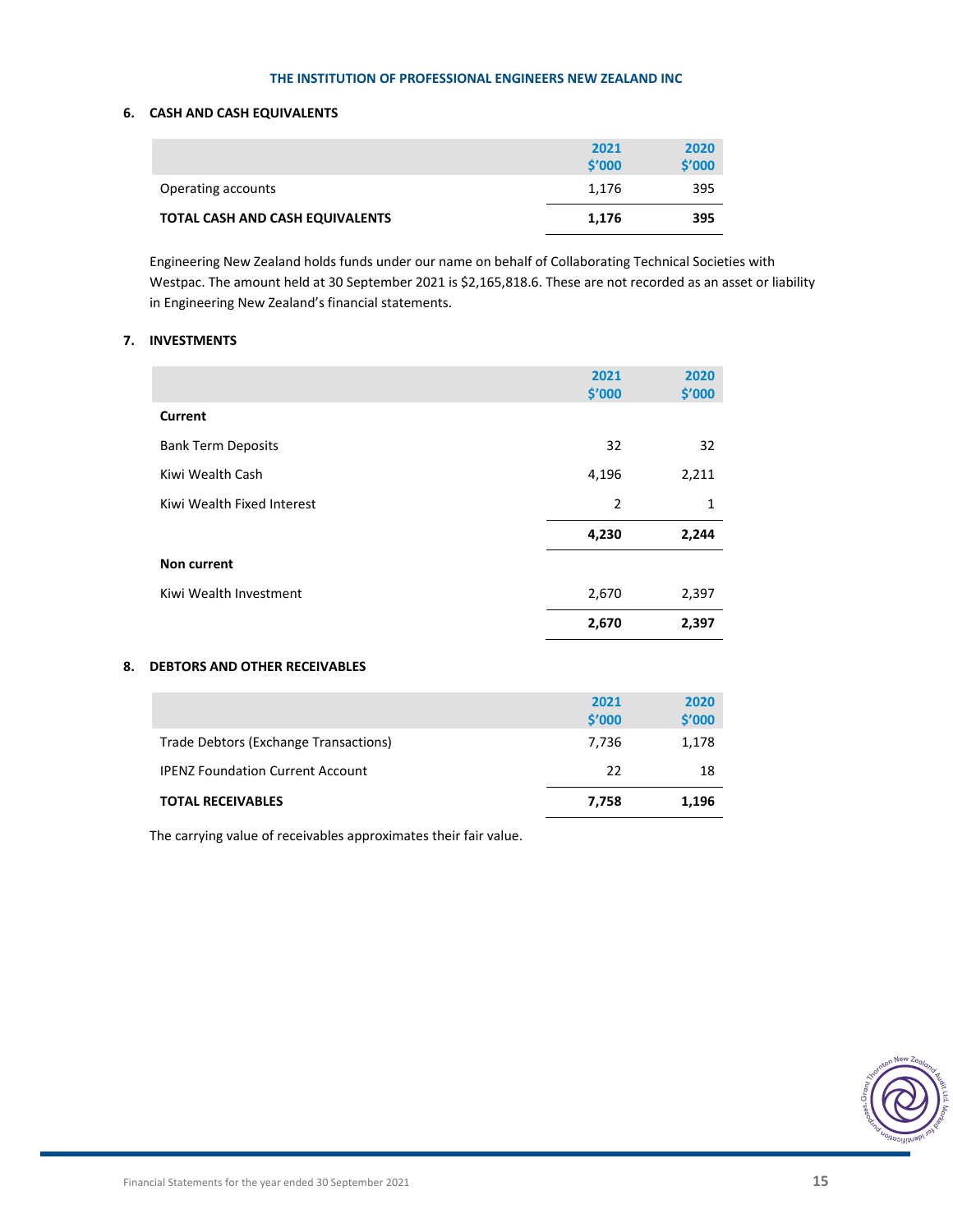# **6. CASH AND CASH EQUIVALENTS**

|                                 | 2021<br>$\mathsf{S}'$ 000 | 2020<br>\$′000 |
|---------------------------------|---------------------------|----------------|
| Operating accounts              | 1.176                     | 395            |
| TOTAL CASH AND CASH EQUIVALENTS | 1.176                     | 395            |

Engineering New Zealand holds funds under our name on behalf of Collaborating Technical Societies with Westpac. The amount held at 30 September 2021 is \$2,165,818.6. These are not recorded as an asset or liability in Engineering New Zealand's financial statements.

# **7. INVESTMENTS**

|                            | 2021<br>\$′000 | 2020<br>\$′000 |
|----------------------------|----------------|----------------|
| Current                    |                |                |
| <b>Bank Term Deposits</b>  | 32             | 32             |
| Kiwi Wealth Cash           | 4,196          | 2,211          |
| Kiwi Wealth Fixed Interest | $\overline{2}$ | 1              |
|                            | 4,230          | 2,244          |
| Non current                |                |                |
| Kiwi Wealth Investment     | 2,670          | 2,397          |
|                            | 2,670          | 2,397          |

# **8. DEBTORS AND OTHER RECEIVABLES**

|                                         | 2021<br>\$'000 | 2020<br>\$′000 |
|-----------------------------------------|----------------|----------------|
| Trade Debtors (Exchange Transactions)   | 7.736          | 1,178          |
| <b>IPENZ Foundation Current Account</b> | 22             | 18             |
| <b>TOTAL RECEIVABLES</b>                | 7,758          | 1,196          |

The carrying value of receivables approximates their fair value.

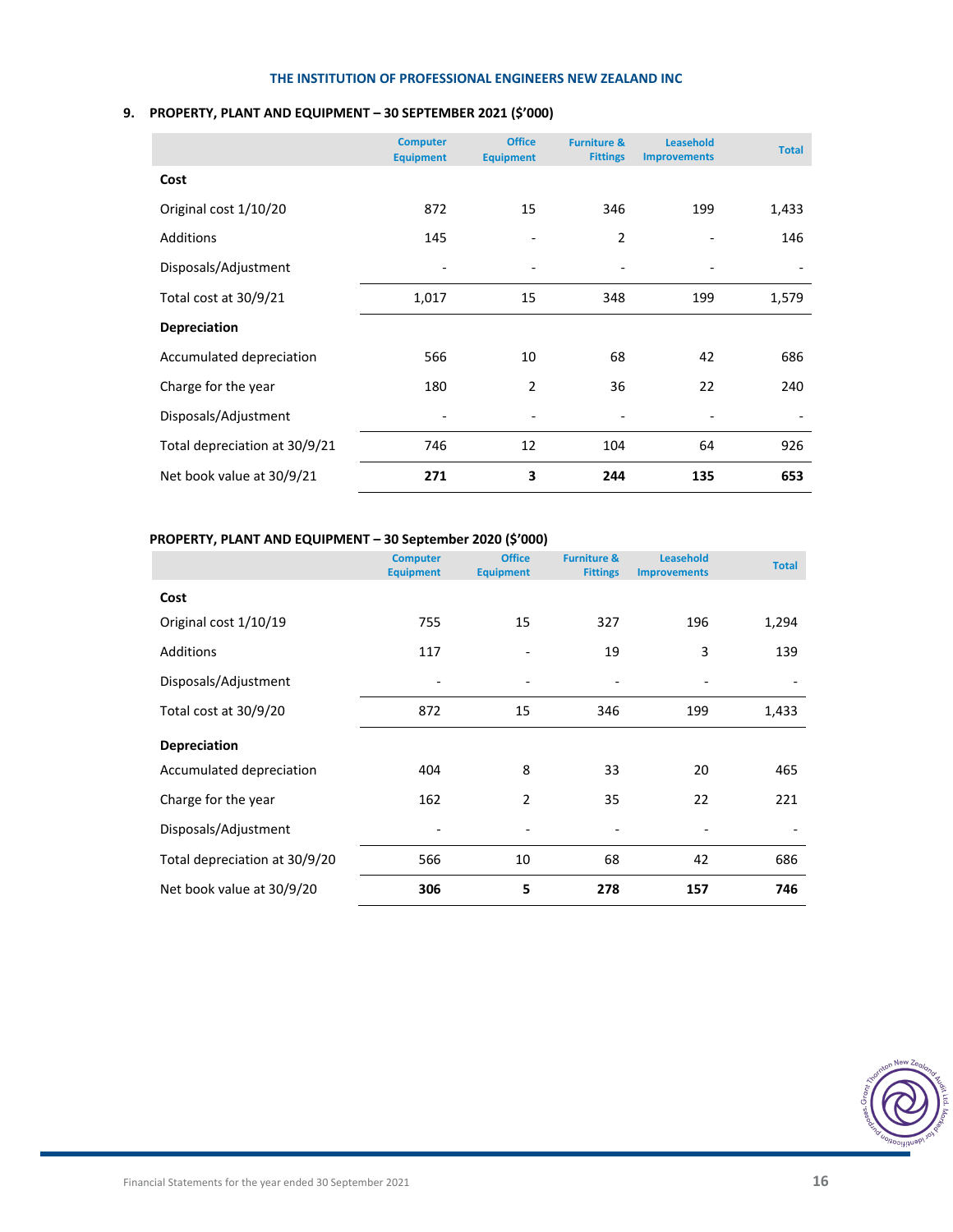# **9. PROPERTY, PLANT AND EQUIPMENT – 30 SEPTEMBER 2021 (\$'000)**

|                               | <b>Computer</b><br><b>Equipment</b> | <b>Office</b><br><b>Equipment</b> | <b>Furniture &amp;</b><br><b>Fittings</b> | Leasehold<br><b>Improvements</b> | <b>Total</b> |
|-------------------------------|-------------------------------------|-----------------------------------|-------------------------------------------|----------------------------------|--------------|
| Cost                          |                                     |                                   |                                           |                                  |              |
| Original cost 1/10/20         | 872                                 | 15                                | 346                                       | 199                              | 1,433        |
| Additions                     | 145                                 |                                   | $\overline{2}$                            |                                  | 146          |
| Disposals/Adjustment          | $\qquad \qquad \blacksquare$        | -                                 | $\overline{\phantom{a}}$                  |                                  |              |
| Total cost at 30/9/21         | 1,017                               | 15                                | 348                                       | 199                              | 1,579        |
| <b>Depreciation</b>           |                                     |                                   |                                           |                                  |              |
| Accumulated depreciation      | 566                                 | 10                                | 68                                        | 42                               | 686          |
| Charge for the year           | 180                                 | 2                                 | 36                                        | 22                               | 240          |
| Disposals/Adjustment          |                                     |                                   |                                           |                                  |              |
| Total depreciation at 30/9/21 | 746                                 | 12                                | 104                                       | 64                               | 926          |
| Net book value at 30/9/21     | 271                                 | 3                                 | 244                                       | 135                              | 653          |

# **PROPERTY, PLANT AND EQUIPMENT – 30 September 2020 (\$'000)**

|                               | <b>Computer</b><br><b>Equipment</b> | <b>Office</b><br><b>Equipment</b> | <b>Furniture &amp;</b><br><b>Fittings</b> | <b>Leasehold</b><br><b>Improvements</b> | <b>Total</b> |
|-------------------------------|-------------------------------------|-----------------------------------|-------------------------------------------|-----------------------------------------|--------------|
| Cost                          |                                     |                                   |                                           |                                         |              |
| Original cost 1/10/19         | 755                                 | 15                                | 327                                       | 196                                     | 1,294        |
| Additions                     | 117                                 |                                   | 19                                        | 3                                       | 139          |
| Disposals/Adjustment          |                                     |                                   |                                           |                                         |              |
| Total cost at 30/9/20         | 872                                 | 15                                | 346                                       | 199                                     | 1,433        |
| <b>Depreciation</b>           |                                     |                                   |                                           |                                         |              |
| Accumulated depreciation      | 404                                 | 8                                 | 33                                        | 20                                      | 465          |
| Charge for the year           | 162                                 | $\overline{2}$                    | 35                                        | 22                                      | 221          |
| Disposals/Adjustment          | $\overline{\phantom{a}}$            |                                   |                                           |                                         |              |
| Total depreciation at 30/9/20 | 566                                 | 10                                | 68                                        | 42                                      | 686          |
| Net book value at 30/9/20     | 306                                 | 5                                 | 278                                       | 157                                     | 746          |

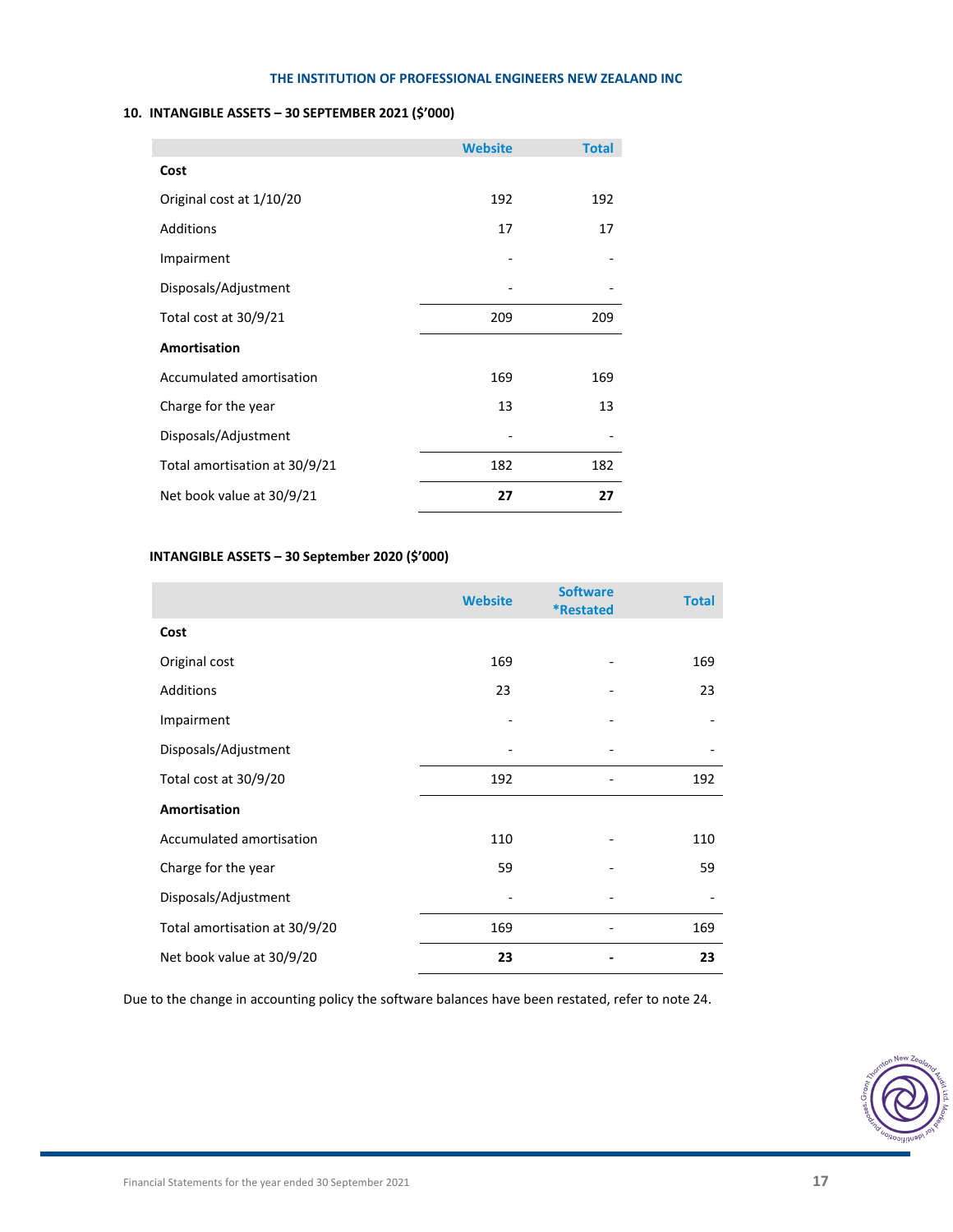# **10. INTANGIBLE ASSETS – 30 SEPTEMBER 2021 (\$'000)**

|                               | <b>Website</b> | <b>Total</b> |
|-------------------------------|----------------|--------------|
| Cost                          |                |              |
| Original cost at 1/10/20      | 192            | 192          |
| Additions                     | 17             | 17           |
| Impairment                    |                |              |
| Disposals/Adjustment          |                |              |
| Total cost at 30/9/21         | 209            | 209          |
| <b>Amortisation</b>           |                |              |
| Accumulated amortisation      | 169            | 169          |
| Charge for the year           | 13             | 13           |
| Disposals/Adjustment          |                |              |
| Total amortisation at 30/9/21 | 182            | 182          |
| Net book value at 30/9/21     | 27             | 27           |

# **INTANGIBLE ASSETS – 30 September 2020 (\$'000)**

|                               | <b>Website</b> | <b>Software</b><br><i><b>*Restated</b></i> | <b>Total</b> |
|-------------------------------|----------------|--------------------------------------------|--------------|
| Cost                          |                |                                            |              |
| Original cost                 | 169            |                                            | 169          |
| Additions                     | 23             |                                            | 23           |
| Impairment                    |                |                                            |              |
| Disposals/Adjustment          |                |                                            |              |
| Total cost at 30/9/20         | 192            |                                            | 192          |
| Amortisation                  |                |                                            |              |
| Accumulated amortisation      | 110            |                                            | 110          |
| Charge for the year           | 59             |                                            | 59           |
| Disposals/Adjustment          |                |                                            |              |
| Total amortisation at 30/9/20 | 169            |                                            | 169          |
| Net book value at 30/9/20     | 23             |                                            | 23           |

Due to the change in accounting policy the software balances have been restated, refer to note 24.

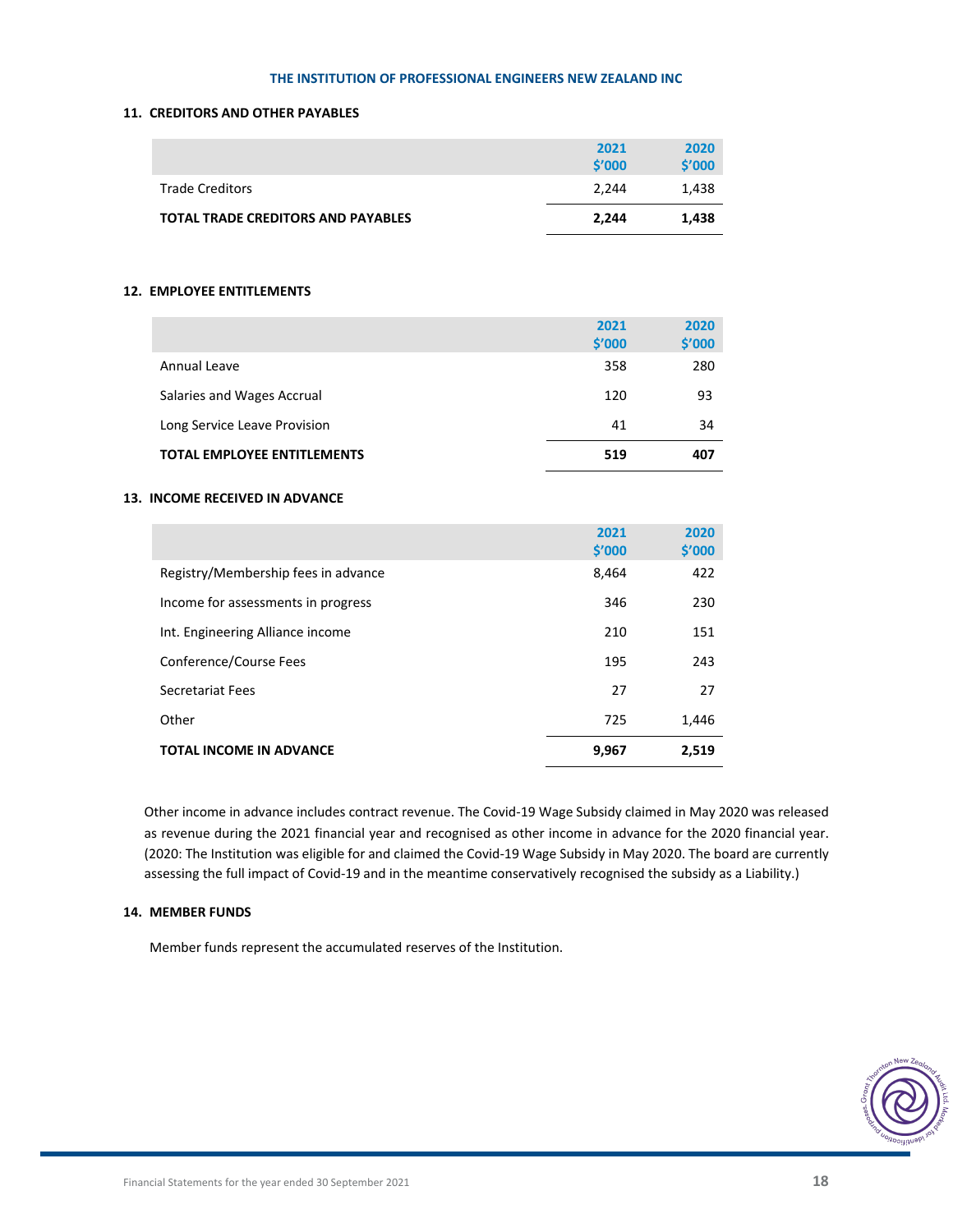# **11. CREDITORS AND OTHER PAYABLES**

|                                           | 2021<br>\$'000 | 2020<br>\$′000 |
|-------------------------------------------|----------------|----------------|
| <b>Trade Creditors</b>                    | 2.244          | 1.438          |
| <b>TOTAL TRADE CREDITORS AND PAYABLES</b> | 2.244          | 1,438          |

# **12. EMPLOYEE ENTITLEMENTS**

|                                    | 2021<br>\$'000 | 2020<br>\$′000 |
|------------------------------------|----------------|----------------|
| Annual Leave                       | 358            | 280            |
| Salaries and Wages Accrual         | 120            | 93             |
| Long Service Leave Provision       | 41             | 34             |
| <b>TOTAL EMPLOYEE ENTITLEMENTS</b> | 519            | 407            |

# **13. INCOME RECEIVED IN ADVANCE**

|                                     | 2021<br>\$′000 | 2020<br>\$′000 |
|-------------------------------------|----------------|----------------|
| Registry/Membership fees in advance | 8,464          | 422            |
| Income for assessments in progress  | 346            | 230            |
| Int. Engineering Alliance income    | 210            | 151            |
| Conference/Course Fees              | 195            | 243            |
| Secretariat Fees                    | 27             | 27             |
| Other                               | 725            | 1,446          |
| <b>TOTAL INCOME IN ADVANCE</b>      | 9,967          | 2,519          |

Other income in advance includes contract revenue. The Covid‐19 Wage Subsidy claimed in May 2020 was released as revenue during the 2021 financial year and recognised as other income in advance for the 2020 financial year. (2020: The Institution was eligible for and claimed the Covid‐19 Wage Subsidy in May 2020. The board are currently assessing the full impact of Covid‐19 and in the meantime conservatively recognised the subsidy as a Liability.)

# **14. MEMBER FUNDS**

Member funds represent the accumulated reserves of the Institution.

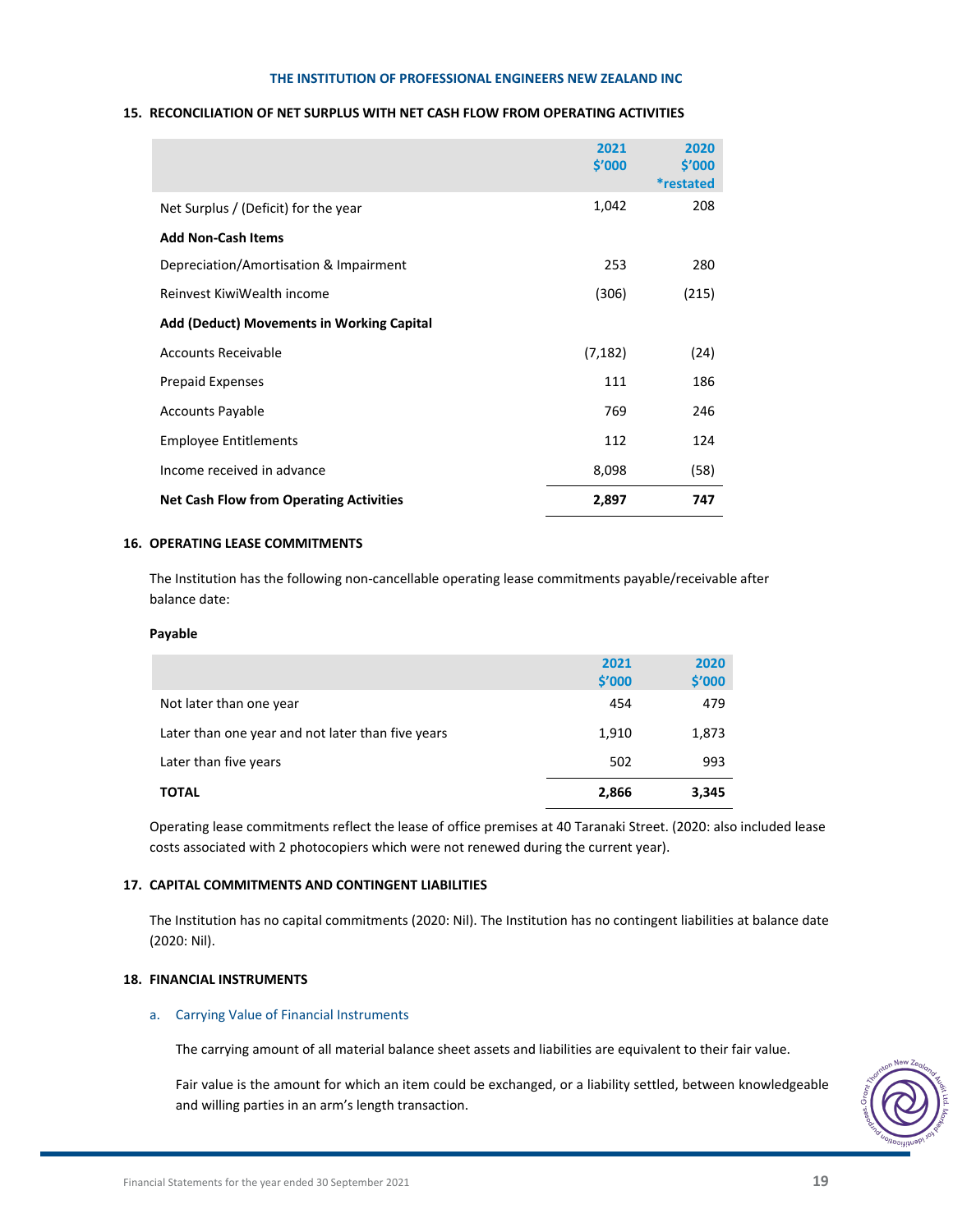# **15. RECONCILIATION OF NET SURPLUS WITH NET CASH FLOW FROM OPERATING ACTIVITIES**

|                                                  | 2021<br>\$′000 | 2020<br>\$′000<br><i>*restated</i> |
|--------------------------------------------------|----------------|------------------------------------|
| Net Surplus / (Deficit) for the year             | 1,042          | 208                                |
| <b>Add Non-Cash Items</b>                        |                |                                    |
| Depreciation/Amortisation & Impairment           | 253            | 280                                |
| Reinvest KiwiWealth income                       | (306)          | (215)                              |
| <b>Add (Deduct) Movements in Working Capital</b> |                |                                    |
| <b>Accounts Receivable</b>                       | (7, 182)       | (24)                               |
| <b>Prepaid Expenses</b>                          | 111            | 186                                |
| <b>Accounts Payable</b>                          | 769            | 246                                |
| <b>Employee Entitlements</b>                     | 112            | 124                                |
| Income received in advance                       | 8,098          | (58)                               |
| <b>Net Cash Flow from Operating Activities</b>   | 2,897          | 747                                |

# **16. OPERATING LEASE COMMITMENTS**

The Institution has the following non‐cancellable operating lease commitments payable/receivable after balance date:

# **Payable**

|                                                   | 2021<br>\$′000 | 2020<br>\$'000 |
|---------------------------------------------------|----------------|----------------|
| Not later than one year                           | 454            | 479            |
| Later than one year and not later than five years | 1,910          | 1,873          |
| Later than five years                             | 502            | 993            |
| <b>TOTAL</b>                                      | 2,866          | 3,345          |

Operating lease commitments reflect the lease of office premises at 40 Taranaki Street. (2020: also included lease costs associated with 2 photocopiers which were not renewed during the current year).

# **17. CAPITAL COMMITMENTS AND CONTINGENT LIABILITIES**

The Institution has no capital commitments (2020: Nil). The Institution has no contingent liabilities at balance date (2020: Nil).

# **18. FINANCIAL INSTRUMENTS**

# a. Carrying Value of Financial Instruments

The carrying amount of all material balance sheet assets and liabilities are equivalent to their fair value.

Fair value is the amount for which an item could be exchanged, or a liability settled, between knowledgeable and willing parties in an arm's length transaction.

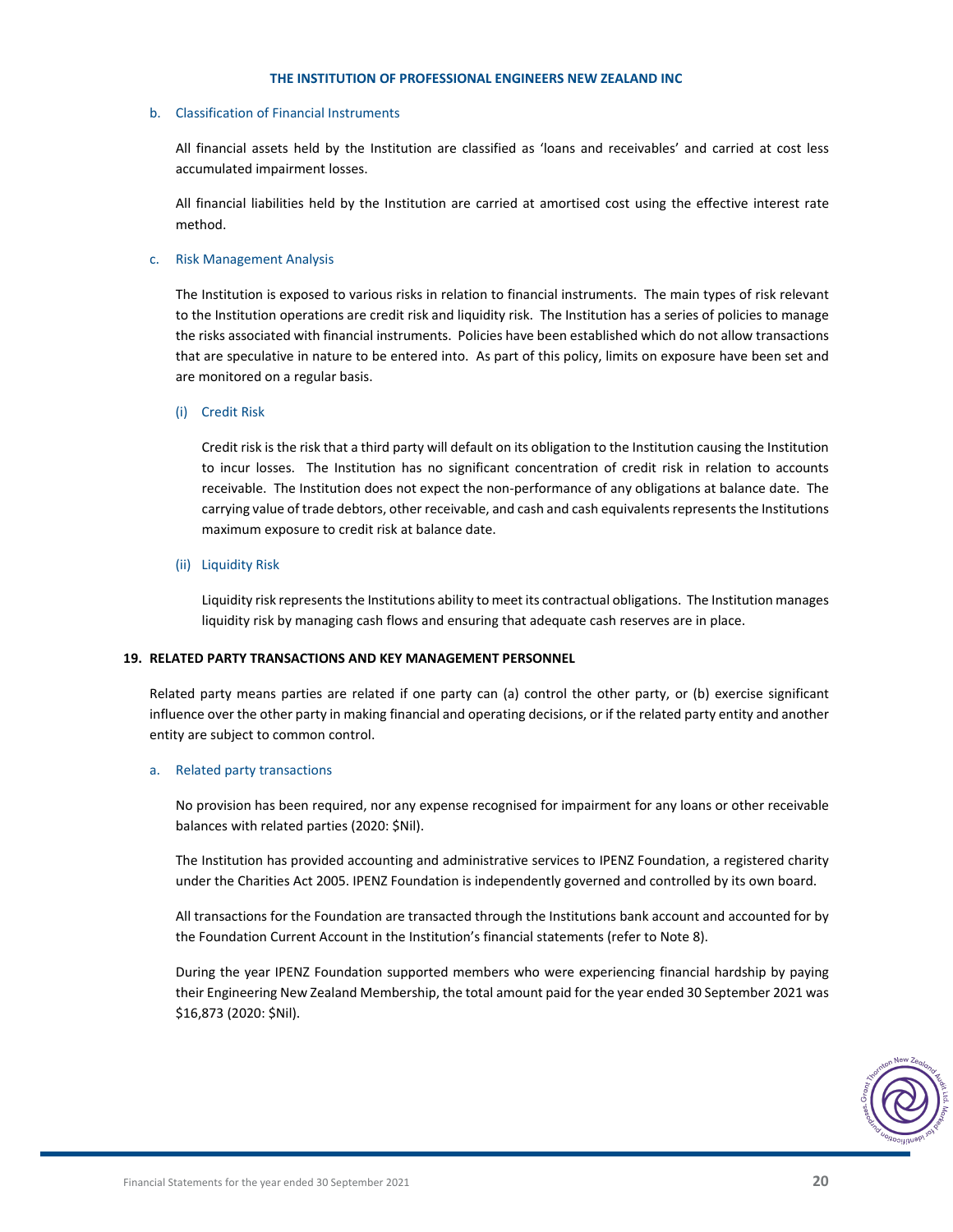# b. Classification of Financial Instruments

All financial assets held by the Institution are classified as 'loans and receivables' and carried at cost less accumulated impairment losses.

All financial liabilities held by the Institution are carried at amortised cost using the effective interest rate method.

# c. Risk Management Analysis

The Institution is exposed to various risks in relation to financial instruments. The main types of risk relevant to the Institution operations are credit risk and liquidity risk. The Institution has a series of policies to manage the risks associated with financial instruments. Policies have been established which do not allow transactions that are speculative in nature to be entered into. As part of this policy, limits on exposure have been set and are monitored on a regular basis.

# (i) Credit Risk

Credit risk is the risk that a third party will default on its obligation to the Institution causing the Institution to incur losses. The Institution has no significant concentration of credit risk in relation to accounts receivable. The Institution does not expect the non-performance of any obligations at balance date. The carrying value of trade debtors, other receivable, and cash and cash equivalents represents the Institutions maximum exposure to credit risk at balance date.

# (ii) Liquidity Risk

Liquidity risk represents the Institutions ability to meet its contractual obligations. The Institution manages liquidity risk by managing cash flows and ensuring that adequate cash reserves are in place.

# **19. RELATED PARTY TRANSACTIONS AND KEY MANAGEMENT PERSONNEL**

Related party means parties are related if one party can (a) control the other party, or (b) exercise significant influence over the other party in making financial and operating decisions, or if the related party entity and another entity are subject to common control.

# a. Related party transactions

No provision has been required, nor any expense recognised for impairment for any loans or other receivable balances with related parties (2020: \$Nil).

The Institution has provided accounting and administrative services to IPENZ Foundation, a registered charity under the Charities Act 2005. IPENZ Foundation is independently governed and controlled by its own board.

All transactions for the Foundation are transacted through the Institutions bank account and accounted for by the Foundation Current Account in the Institution's financial statements (refer to Note 8).

During the year IPENZ Foundation supported members who were experiencing financial hardship by paying their Engineering New Zealand Membership, the total amount paid for the year ended 30 September 2021 was \$16,873 (2020: \$Nil).

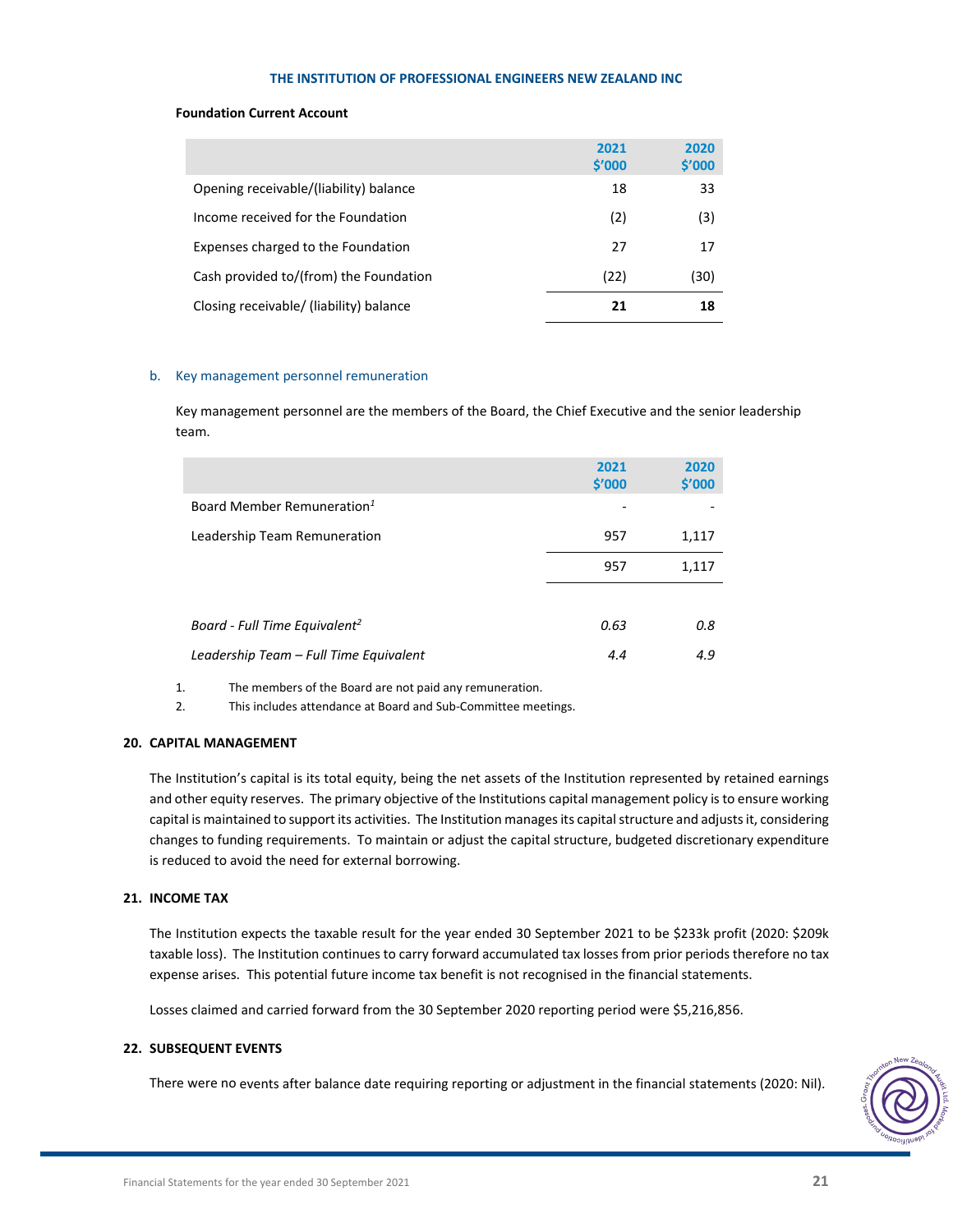# **Foundation Current Account**

|                                         | 2021<br>\$'000 | 2020<br>\$'000 |
|-----------------------------------------|----------------|----------------|
| Opening receivable/(liability) balance  | 18             | 33             |
| Income received for the Foundation      | (2)            | (3)            |
| Expenses charged to the Foundation      | 27             | 17             |
| Cash provided to/(from) the Foundation  | (22)           | (30)           |
| Closing receivable/ (liability) balance | 21             | 18             |

# b. Key management personnel remuneration

Key management personnel are the members of the Board, the Chief Executive and the senior leadership team.

|                                           | 2021<br>\$′000 | 2020<br>\$′000 |
|-------------------------------------------|----------------|----------------|
| Board Member Remuneration <sup>1</sup>    |                |                |
| Leadership Team Remuneration              | 957            | 1,117          |
|                                           | 957            | 1,117          |
|                                           |                |                |
| Board - Full Time Equivalent <sup>2</sup> | 0.63           | 0.8            |
| Leadership Team - Full Time Equivalent    | 4.4            | 4.9            |

1. The members of the Board are not paid any remuneration.

2. This includes attendance at Board and Sub-Committee meetings.

# **20. CAPITAL MANAGEMENT**

The Institution's capital is its total equity, being the net assets of the Institution represented by retained earnings and other equity reserves. The primary objective of the Institutions capital management policy is to ensure working capital is maintained to support its activities. The Institution manages its capital structure and adjusts it, considering changes to funding requirements. To maintain or adjust the capital structure, budgeted discretionary expenditure is reduced to avoid the need for external borrowing.

# **21. INCOME TAX**

The Institution expects the taxable result for the year ended 30 September 2021 to be \$233k profit (2020: \$209k taxable loss). The Institution continues to carry forward accumulated tax losses from prior periods therefore no tax expense arises. This potential future income tax benefit is not recognised in the financial statements.

Losses claimed and carried forward from the 30 September 2020 reporting period were \$5,216,856.

# **22. SUBSEQUENT EVENTS**

There were no events after balance date requiring reporting or adjustment in the financial statements (2020: Nil).

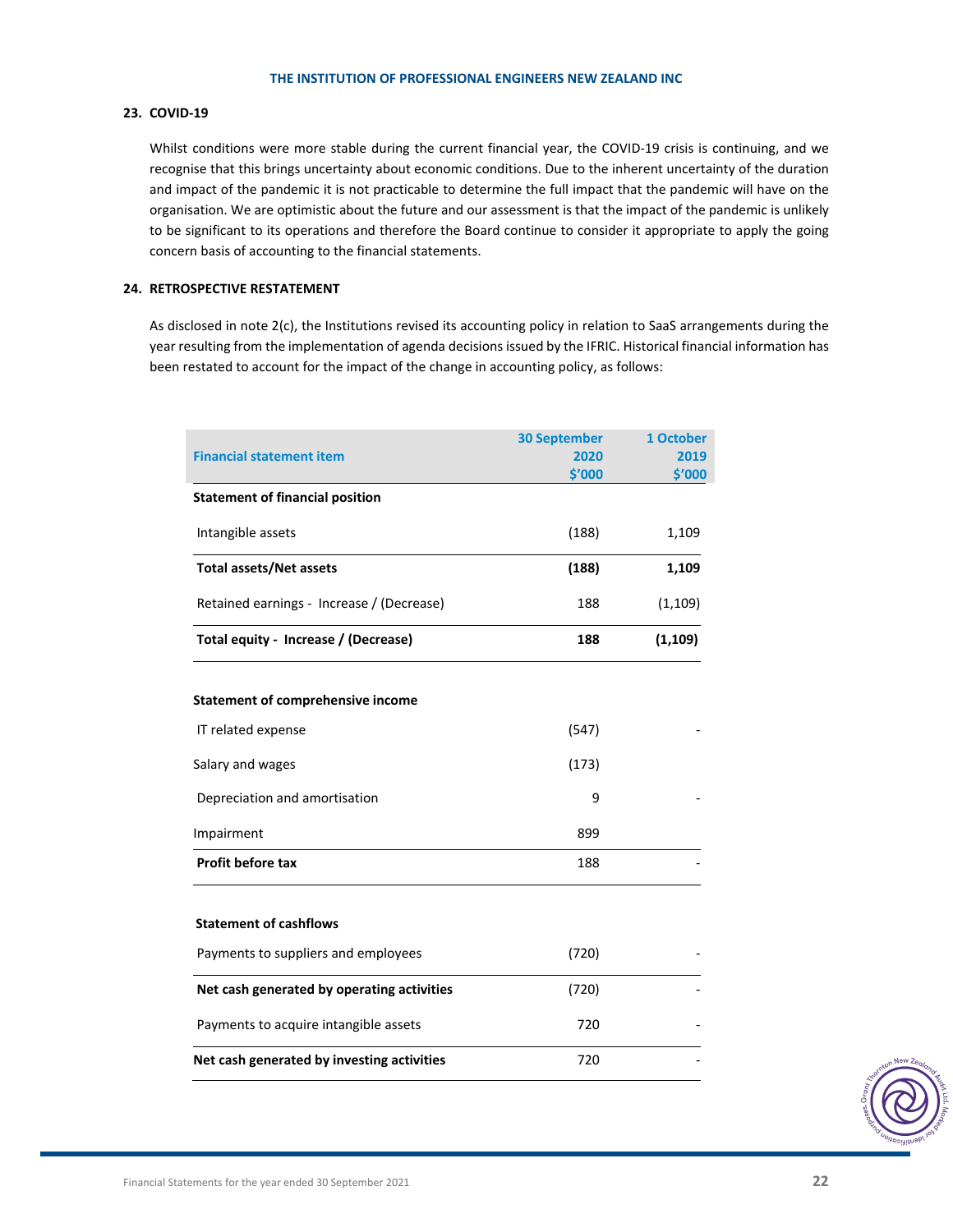# **23. COVID‐19**

Whilst conditions were more stable during the current financial year, the COVID-19 crisis is continuing, and we recognise that this brings uncertainty about economic conditions. Due to the inherent uncertainty of the duration and impact of the pandemic it is not practicable to determine the full impact that the pandemic will have on the organisation. We are optimistic about the future and our assessment is that the impact of the pandemic is unlikely to be significant to its operations and therefore the Board continue to consider it appropriate to apply the going concern basis of accounting to the financial statements.

# **24. RETROSPECTIVE RESTATEMENT**

As disclosed in note 2(c), the Institutions revised its accounting policy in relation to SaaS arrangements during the year resulting from the implementation of agenda decisions issued by the IFRIC. Historical financial information has been restated to account for the impact of the change in accounting policy, as follows:

| <b>Financial statement item</b>            | <b>30 September</b><br>2020 | 1 October<br>2019 |
|--------------------------------------------|-----------------------------|-------------------|
|                                            | \$'000                      | \$′000            |
| <b>Statement of financial position</b>     |                             |                   |
| Intangible assets                          | (188)                       | 1,109             |
| <b>Total assets/Net assets</b>             | (188)                       | 1,109             |
| Retained earnings - Increase / (Decrease)  | 188                         | (1, 109)          |
| Total equity - Increase / (Decrease)       | 188                         | (1, 109)          |
| <b>Statement of comprehensive income</b>   |                             |                   |
| IT related expense                         | (547)                       |                   |
| Salary and wages                           | (173)                       |                   |
| Depreciation and amortisation              | 9                           |                   |
| Impairment                                 | 899                         |                   |
| Profit before tax                          | 188                         |                   |
| <b>Statement of cashflows</b>              |                             |                   |
| Payments to suppliers and employees        | (720)                       |                   |
| Net cash generated by operating activities | (720)                       |                   |
| Payments to acquire intangible assets      | 720                         |                   |
| Net cash generated by investing activities | 720                         |                   |
|                                            |                             |                   |

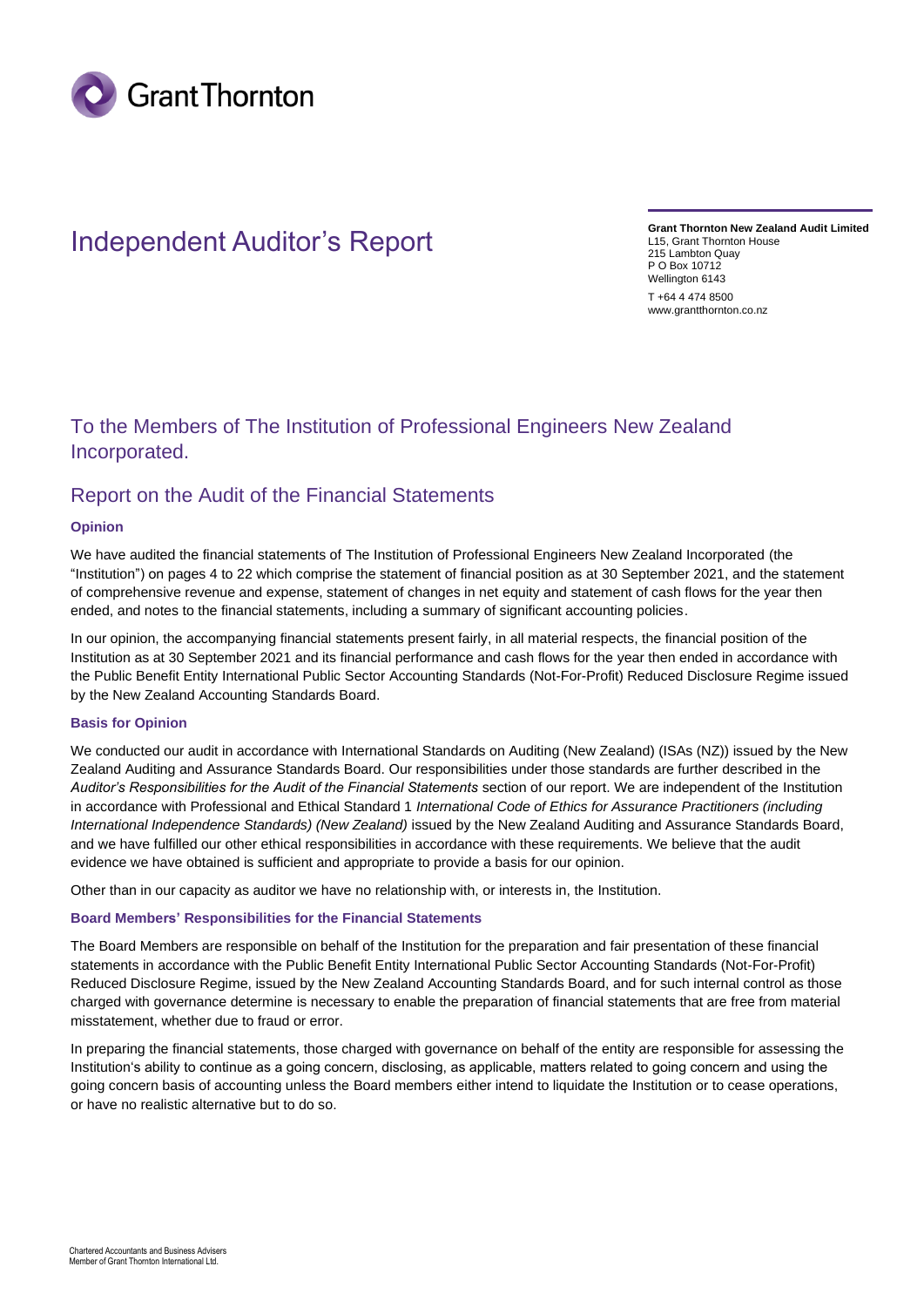

# Independent Auditor's Report

**Grant Thornton New Zealand Audit Limited** L15, Grant Thornton House 215 Lambton Quay P O Box 10712 Wellington 6143 T +64 4 474 8500 www.grantthornton.co.nz

# To the Members of The Institution of Professional Engineers New Zealand Incorporated.

# Report on the Audit of the Financial Statements

# **Opinion**

We have audited the financial statements of The Institution of Professional Engineers New Zealand Incorporated (the "Institution") on pages 4 to 22 which comprise the statement of financial position as at 30 September 2021, and the statement of comprehensive revenue and expense, statement of changes in net equity and statement of cash flows for the year then ended, and notes to the financial statements, including a summary of significant accounting policies.

In our opinion, the accompanying financial statements present fairly, in all material respects, the financial position of the Institution as at 30 September 2021 and its financial performance and cash flows for the year then ended in accordance with the Public Benefit Entity International Public Sector Accounting Standards (Not-For-Profit) Reduced Disclosure Regime issued by the New Zealand Accounting Standards Board.

# **Basis for Opinion**

We conducted our audit in accordance with International Standards on Auditing (New Zealand) (ISAs (NZ)) issued by the New Zealand Auditing and Assurance Standards Board. Our responsibilities under those standards are further described in the *Auditor's Responsibilities for the Audit of the Financial Statements* section of our report. We are independent of the Institution in accordance with Professional and Ethical Standard 1 *International Code of Ethics for Assurance Practitioners (including International Independence Standards) (New Zealand)* issued by the New Zealand Auditing and Assurance Standards Board, and we have fulfilled our other ethical responsibilities in accordance with these requirements. We believe that the audit evidence we have obtained is sufficient and appropriate to provide a basis for our opinion.

Other than in our capacity as auditor we have no relationship with, or interests in, the Institution.

# **Board Members' Responsibilities for the Financial Statements**

The Board Members are responsible on behalf of the Institution for the preparation and fair presentation of these financial statements in accordance with the Public Benefit Entity International Public Sector Accounting Standards (Not-For-Profit) Reduced Disclosure Regime, issued by the New Zealand Accounting Standards Board, and for such internal control as those charged with governance determine is necessary to enable the preparation of financial statements that are free from material misstatement, whether due to fraud or error.

In preparing the financial statements, those charged with governance on behalf of the entity are responsible for assessing the Institution's ability to continue as a going concern, disclosing, as applicable, matters related to going concern and using the going concern basis of accounting unless the Board members either intend to liquidate the Institution or to cease operations, or have no realistic alternative but to do so.